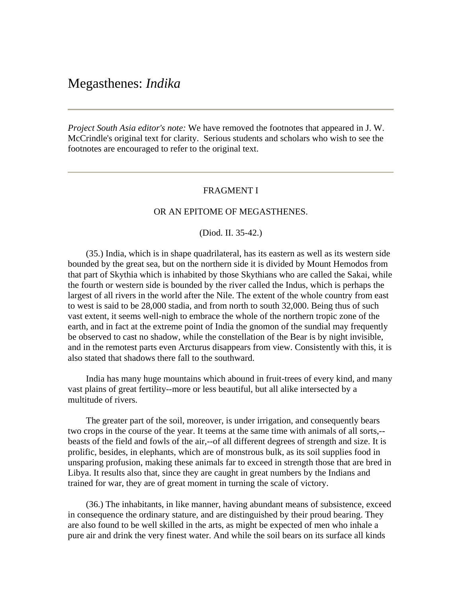# Megasthenes: *Indika*

*Project South Asia editor's note:* We have removed the footnotes that appeared in J. W. McCrindle's original text for clarity. Serious students and scholars who wish to see the footnotes are encouraged to refer to the original text.

## FRAGMENT I

### OR AN EPITOME OF MEGASTHENES.

## (Diod. II. 35-42.)

 (35.) India, which is in shape quadrilateral, has its eastern as well as its western side bounded by the great sea, but on the northern side it is divided by Mount Hemodos from that part of Skythia which is inhabited by those Skythians who are called the Sakai, while the fourth or western side is bounded by the river called the Indus, which is perhaps the largest of all rivers in the world after the Nile. The extent of the whole country from east to west is said to be 28,000 stadia, and from north to south 32,000. Being thus of such vast extent, it seems well-nigh to embrace the whole of the northern tropic zone of the earth, and in fact at the extreme point of India the gnomon of the sundial may frequently be observed to cast no shadow, while the constellation of the Bear is by night invisible, and in the remotest parts even Arcturus disappears from view. Consistently with this, it is also stated that shadows there fall to the southward.

 India has many huge mountains which abound in fruit-trees of every kind, and many vast plains of great fertility--more or less beautiful, but all alike intersected by a multitude of rivers.

 The greater part of the soil, moreover, is under irrigation, and consequently bears two crops in the course of the year. It teems at the same time with animals of all sorts,- beasts of the field and fowls of the air,--of all different degrees of strength and size. It is prolific, besides, in elephants, which are of monstrous bulk, as its soil supplies food in unsparing profusion, making these animals far to exceed in strength those that are bred in Libya. It results also that, since they are caught in great numbers by the Indians and trained for war, they are of great moment in turning the scale of victory.

 (36.) The inhabitants, in like manner, having abundant means of subsistence, exceed in consequence the ordinary stature, and are distinguished by their proud bearing. They are also found to be well skilled in the arts, as might be expected of men who inhale a pure air and drink the very finest water. And while the soil bears on its surface all kinds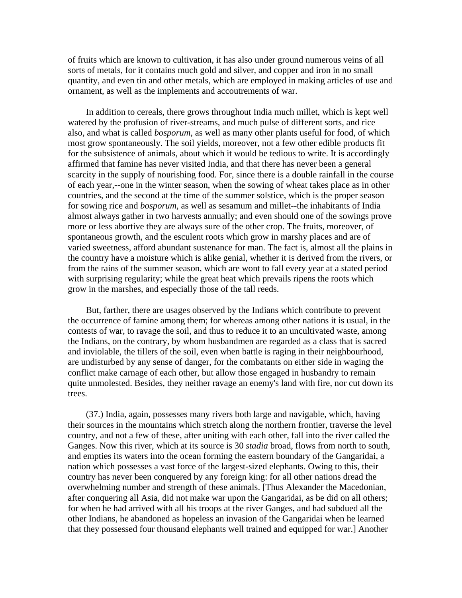of fruits which are known to cultivation, it has also under ground numerous veins of all sorts of metals, for it contains much gold and silver, and copper and iron in no small quantity, and even tin and other metals, which are employed in making articles of use and ornament, as well as the implements and accoutrements of war.

 In addition to cereals, there grows throughout India much millet, which is kept well watered by the profusion of river-streams, and much pulse of different sorts, and rice also, and what is called *bosporum,* as well as many other plants useful for food, of which most grow spontaneously. The soil yields, moreover, not a few other edible products fit for the subsistence of animals, about which it would be tedious to write. It is accordingly affirmed that famine has never visited India, and that there has never been a general scarcity in the supply of nourishing food. For, since there is a double rainfall in the course of each year,--one in the winter season, when the sowing of wheat takes place as in other countries, and the second at the time of the summer solstice, which is the proper season for sowing rice and *bosporum,* as well as sesamum and millet--the inhabitants of India almost always gather in two harvests annually; and even should one of the sowings prove more or less abortive they are always sure of the other crop. The fruits, moreover, of spontaneous growth, and the esculent roots which grow in marshy places and are of varied sweetness, afford abundant sustenance for man. The fact is, almost all the plains in the country have a moisture which is alike genial, whether it is derived from the rivers, or from the rains of the summer season, which are wont to fall every year at a stated period with surprising regularity; while the great heat which prevails ripens the roots which grow in the marshes, and especially those of the tall reeds.

 But, farther, there are usages observed by the Indians which contribute to prevent the occurrence of famine among them; for whereas among other nations it is usual, in the contests of war, to ravage the soil, and thus to reduce it to an uncultivated waste, among the Indians, on the contrary, by whom husbandmen are regarded as a class that is sacred and inviolable, the tillers of the soil, even when battle is raging in their neighbourhood, are undisturbed by any sense of danger, for the combatants on either side in waging the conflict make carnage of each other, but allow those engaged in husbandry to remain quite unmolested. Besides, they neither ravage an enemy's land with fire, nor cut down its trees.

 (37.) India, again, possesses many rivers both large and navigable, which, having their sources in the mountains which stretch along the northern frontier, traverse the level country, and not a few of these, after uniting with each other, fall into the river called the Ganges. Now this river, which at its source is 30 *stadia* broad, flows from north to south, and empties its waters into the ocean forming the eastern boundary of the Gangaridai, a nation which possesses a vast force of the largest-sized elephants. Owing to this, their country has never been conquered by any foreign king: for all other nations dread the overwhelming number and strength of these animals. [Thus Alexander the Macedonian, after conquering all Asia, did not make war upon the Gangaridai, as be did on all others; for when he had arrived with all his troops at the river Ganges, and had subdued all the other Indians, he abandoned as hopeless an invasion of the Gangaridai when he learned that they possessed four thousand elephants well trained and equipped for war.] Another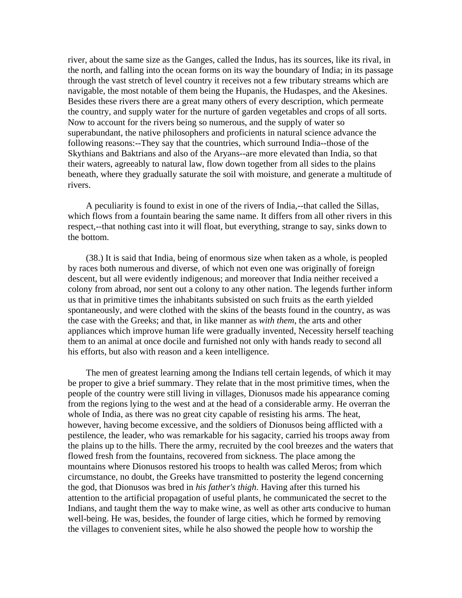river, about the same size as the Ganges, called the Indus, has its sources, like its rival, in the north, and falling into the ocean forms on its way the boundary of India; in its passage through the vast stretch of level country it receives not a few tributary streams which are navigable, the most notable of them being the Hupanis*,* the Hudaspes, and the Akesines. Besides these rivers there are a great many others of every description, which permeate the country, and supply water for the nurture of garden vegetables and crops of all sorts. Now to account for the rivers being so numerous, and the supply of water so superabundant, the native philosophers and proficients in natural science advance the following reasons:--They say that the countries, which surround India--those of the Skythians and Baktrians and also of the Aryans--are more elevated than India, so that their waters, agreeably to natural law, flow down together from all sides to the plains beneath, where they gradually saturate the soil with moisture, and generate a multitude of rivers.

 A peculiarity is found to exist in one of the rivers of India,--that called the Sillas, which flows from a fountain bearing the same name. It differs from all other rivers in this respect,--that nothing cast into it will float, but everything, strange to say, sinks down to the bottom.

 (38.) It is said that India, being of enormous size when taken as a whole, is peopled by races both numerous and diverse, of which not even one was originally of foreign descent, but all were evidently indigenous; and moreover that India neither received a colony from abroad, nor sent out a colony to any other nation. The legends further inform us that in primitive times the inhabitants subsisted on such fruits as the earth yielded spontaneously, and were clothed with the skins of the beasts found in the country, as was the case with the Greeks; and that, in like manner as *with them,* the arts and other appliances which improve human life were gradually invented, Necessity herself teaching them to an animal at once docile and furnished not only with hands ready to second all his efforts, but also with reason and a keen intelligence.

 The men of greatest learning among the Indians tell certain legends, of which it may be proper to give a brief summary. They relate that in the most primitive times, when the people of the country were still living in villages, Dionusos made his appearance coming from the regions lying to the west and at the head of a considerable army. He overran the whole of India, as there was no great city capable of resisting his arms. The heat, however, having become excessive, and the soldiers of Dionusos being afflicted with a pestilence, the leader, who was remarkable for his sagacity, carried his troops away from the plains up to the hills. There the army, recruited by the cool breezes and the waters that flowed fresh from the fountains, recovered from sickness. The place among the mountains where Dionusos restored his troops to health was called Meros; from which circumstance, no doubt, the Greeks have transmitted to posterity the legend concerning the god, that Dionusos was bred in *his father's thigh*. Having after this turned his attention to the artificial propagation of useful plants, he communicated the secret to the Indians, and taught them the way to make wine, as well as other arts conducive to human well-being. He was, besides, the founder of large cities, which he formed by removing the villages to convenient sites, while he also showed the people how to worship the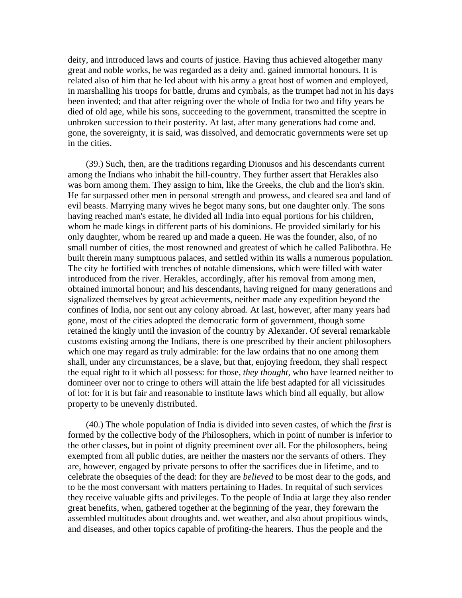deity, and introduced laws and courts of justice. Having thus achieved altogether many great and noble works, he was regarded as a deity and. gained immortal honours. It is related also of him that he led about with his army a great host of women and employed, in marshalling his troops for battle, drums and cymbals, as the trumpet had not in his days been invented; and that after reigning over the whole of India for two and fifty years he died of old age, while his sons, succeeding to the government, transmitted the sceptre in unbroken succession to their posterity. At last, after many generations had come and. gone, the sovereignty, it is said, was dissolved, and democratic governments were set up in the cities.

 (39.) Such, then, are the traditions regarding Dionusos and his descendants current among the Indians who inhabit the hill-country. They further assert that Herakles also was born among them. They assign to him, like the Greeks, the club and the lion's skin. He far surpassed other men in personal strength and prowess, and cleared sea and land of evil beasts. Marrying many wives he begot many sons, but one daughter only. The sons having reached man's estate, he divided all India into equal portions for his children, whom he made kings in different parts of his dominions. He provided similarly for his only daughter, whom be reared up and made a queen. He was the founder, also, of no small number of cities, the most renowned and greatest of which he called Palibothra. He built therein many sumptuous palaces, and settled within its walls a numerous population. The city he fortified with trenches of notable dimensions, which were filled with water introduced from the river. Herakles, accordingly, after his removal from among men, obtained immortal honour; and his descendants, having reigned for many generations and signalized themselves by great achievements, neither made any expedition beyond the confines of India, nor sent out any colony abroad. At last, however, after many years had gone, most of the cities adopted the democratic form of government, though some retained the kingly until the invasion of the country by Alexander. Of several remarkable customs existing among the Indians, there is one prescribed by their ancient philosophers which one may regard as truly admirable: for the law ordains that no one among them shall, under any circumstances, be a slave, but that, enjoying freedom, they shall respect the equal right to it which all possess: for those, *they thought*, who have learned neither to domineer over nor to cringe to others will attain the life best adapted for all vicissitudes of lot: for it is but fair and reasonable to institute laws which bind all equally, but allow property to be unevenly distributed.

 (40.) The whole population of India is divided into seven castes, of which the *first* is formed by the collective body of the Philosophers, which in point of number is inferior to the other classes, but in point of dignity preeminent over all. For the philosophers, being exempted from all public duties, are neither the masters nor the servants of others. They are, however, engaged by private persons to offer the sacrifices due in lifetime, and to celebrate the obsequies of the dead: for they are *believed* to be most dear to the gods, and to be the most conversant with matters pertaining to Hades. In requital of such services they receive valuable gifts and privileges. To the people of India at large they also render great benefits, when, gathered together at the beginning of the year, they forewarn the assembled multitudes about droughts and. wet weather, and also about propitious winds, and diseases, and other topics capable of profiting-the hearers. Thus the people and the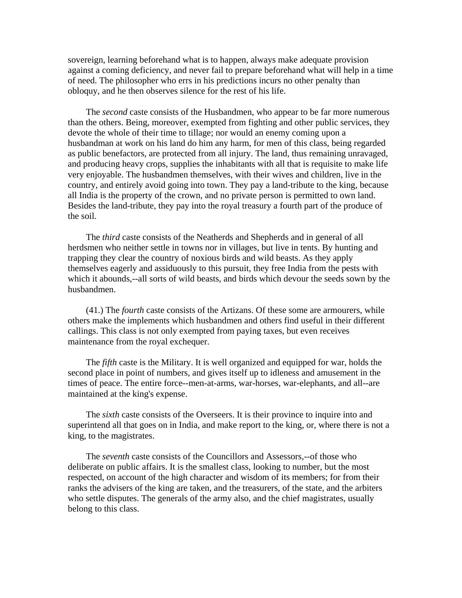sovereign, learning beforehand what is to happen, always make adequate provision against a coming deficiency, and never fail to prepare beforehand what will help in a time of need. The philosopher who errs in his predictions incurs no other penalty than obloquy, and he then observes silence for the rest of his life.

 The *second* caste consists of the Husbandmen, who appear to be far more numerous than the others. Being, moreover, exempted from fighting and other public services, they devote the whole of their time to tillage; nor would an enemy coming upon a husbandman at work on his land do him any harm, for men of this class, being regarded as public benefactors, are protected from all injury. The land, thus remaining unravaged, and producing heavy crops, supplies the inhabitants with all that is requisite to make life very enjoyable. The husbandmen themselves, with their wives and children, live in the country, and entirely avoid going into town. They pay a land-tribute to the king, because all India is the property of the crown, and no private person is permitted to own land. Besides the land-tribute, they pay into the royal treasury a fourth part of the produce of the soil.

 The *third* caste consists of the Neatherds and Shepherds and in general of all herdsmen who neither settle in towns nor in villages, but live in tents. By hunting and trapping they clear the country of noxious birds and wild beasts. As they apply themselves eagerly and assiduously to this pursuit, they free India from the pests with which it abounds,--all sorts of wild beasts, and birds which devour the seeds sown by the husbandmen.

 (41.) The *fourth* caste consists of the Artizans. Of these some are armourers, while others make the implements which husbandmen and others find useful in their different callings. This class is not only exempted from paying taxes, but even receives maintenance from the royal exchequer.

 The *fifth* caste is the Military. It is well organized and equipped for war, holds the second place in point of numbers, and gives itself up to idleness and amusement in the times of peace. The entire force--men-at-arms, war-horses, war-elephants, and all--are maintained at the king's expense.

 The *sixth* caste consists of the Overseers. It is their province to inquire into and superintend all that goes on in India, and make report to the king, or, where there is not a king, to the magistrates.

 The *seventh* caste consists of the Councillors and Assessors,--of those who deliberate on public affairs. It is the smallest class, looking to number, but the most respected, on account of the high character and wisdom of its members; for from their ranks the advisers of the king are taken, and the treasurers, of the state, and the arbiters who settle disputes. The generals of the army also, and the chief magistrates, usually belong to this class.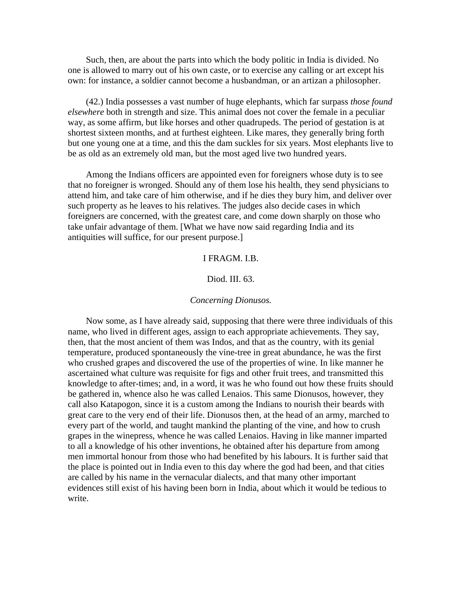Such, then, are about the parts into which the body politic in India is divided. No one is allowed to marry out of his own caste, or to exercise any calling or art except his own: for instance, a soldier cannot become a husbandman, or an artizan a philosopher.

 (42.) India possesses a vast number of huge elephants, which far surpass *those found elsewhere* both in strength and size. This animal does not cover the female in a peculiar way, as some affirm, but like horses and other quadrupeds. The period of gestation is at shortest sixteen months, and at furthest eighteen. Like mares, they generally bring forth but one young one at a time, and this the dam suckles for six years. Most elephants live to be as old as an extremely old man, but the most aged live two hundred years.

 Among the Indians officers are appointed even for foreigners whose duty is to see that no foreigner is wronged. Should any of them lose his health, they send physicians to attend him, and take care of him otherwise, and if he dies they bury him, and deliver over such property as he leaves to his relatives. The judges also decide cases in which foreigners are concerned, with the greatest care, and come down sharply on those who take unfair advantage of them. [What we have now said regarding India and its antiquities will suffice, for our present purpose.]

#### I FRAGM. I.B.

## Diod. III. 63.

#### *Concerning Dionusos.*

 Now some, as I have already said, supposing that there were three individuals of this name, who lived in different ages, assign to each appropriate achievements. They say, then, that the most ancient of them was Indos, and that as the country, with its genial temperature, produced spontaneously the vine-tree in great abundance, he was the first who crushed grapes and discovered the use of the properties of wine. In like manner he ascertained what culture was requisite for figs and other fruit trees, and transmitted this knowledge to after-times; and, in a word, it was he who found out how these fruits should be gathered in, whence also he was called Lenaios. This same Dionusos, however, they call also Katapogon, since it is a custom among the Indians to nourish their beards with great care to the very end of their life. Dionusos then, at the head of an army, marched to every part of the world, and taught mankind the planting of the vine, and how to crush grapes in the winepress, whence he was called Lenaios. Having in like manner imparted to all a knowledge of his other inventions, he obtained after his departure from among men immortal honour from those who had benefited by his labours. It is further said that the place is pointed out in India even to this day where the god had been, and that cities are called by his name in the vernacular dialects, and that many other important evidences still exist of his having been born in India, about which it would be tedious to write.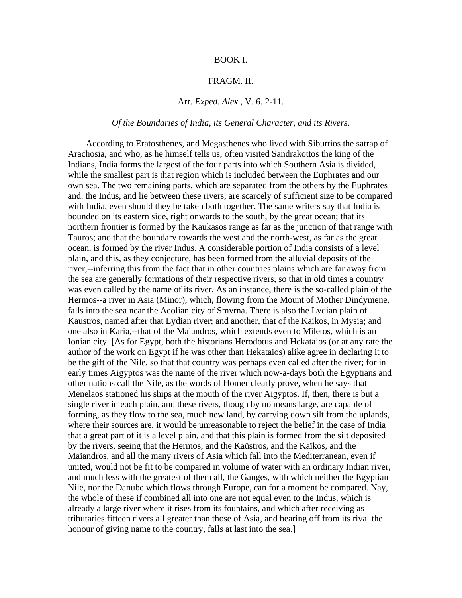#### BOOK I.

### FRAGM. II.

### Arr. *Exped. Alex.,* V. 6. 2-11.

#### *Of the Boundaries of India, its General Character, and its Rivers.*

 According to Eratosthenes, and Megasthenes who lived with Siburtios the satrap of Arachosia, and who, as he himself tells us, often visited Sandrakottos the king of the Indians, India forms the largest of the four parts into which Southern Asia is divided, while the smallest part is that region which is included between the Euphrates and our own sea. The two remaining parts, which are separated from the others by the Euphrates and. the Indus, and lie between these rivers, are scarcely of sufficient size to be compared with India, even should they be taken both together. The same writers say that India is bounded on its eastern side, right onwards to the south, by the great ocean; that its northern frontier is formed by the Kaukasos range as far as the junction of that range with Tauros; and that the boundary towards the west and the north-west, as far as the great ocean, is formed by the river Indus. A considerable portion of India consists of a level plain, and this, as they conjecture, has been formed from the alluvial deposits of the river,--inferring this from the fact that in other countries plains which are far away from the sea are generally formations of their respective rivers, so that in old times a country was even called by the name of its river. As an instance, there is the so-called plain of the Hermos--a river in Asia (Minor), which, flowing from the Mount of Mother Dindymene, falls into the sea near the Aeolian city of Smyrna. There is also the Lydian plain of Kaustros, named after that Lydian river; and another, that of the Kaikos, in Mysia; and one also in Karia,--that of the Maiandros, which extends even to Miletos, which is an Ionian city. [As for Egypt, both the historians Herodotus and Hekataios (or at any rate the author of the work on Egypt if he was other than Hekataios) alike agree in declaring it to be the gift of the Nile, so that that country was perhaps even called after the river; for in early times Aigyptos was the name of the river which now-a-days both the Egyptians and other nations call the Nile, as the words of Homer clearly prove, when he says that Menelaos stationed his ships at the mouth of the river Aigyptos. If, then, there is but a single river in each plain, and these rivers, though by no means large, are capable of forming, as they flow to the sea, much new land, by carrying down silt from the uplands, where their sources are, it would be unreasonable to reject the belief in the case of India that a great part of it is a level plain, and that this plain is formed from the silt deposited by the rivers, seeing that the Hermos, and the Kaüstros, and the Kaïkos, and the Maiandros, and all the many rivers of Asia which fall into the Mediterranean, even if united, would not be fit to be compared in volume of water with an ordinary Indian river, and much less with the greatest of them all, the Ganges, with which neither the Egyptian Nile, nor the Danube which flows through Europe, can for a moment be compared. Nay, the whole of these if combined all into one are not equal even to the Indus, which is already a large river where it rises from its fountains, and which after receiving as tributaries fifteen rivers all greater than those of Asia, and bearing off from its rival the honour of giving name to the country, falls at last into the sea.]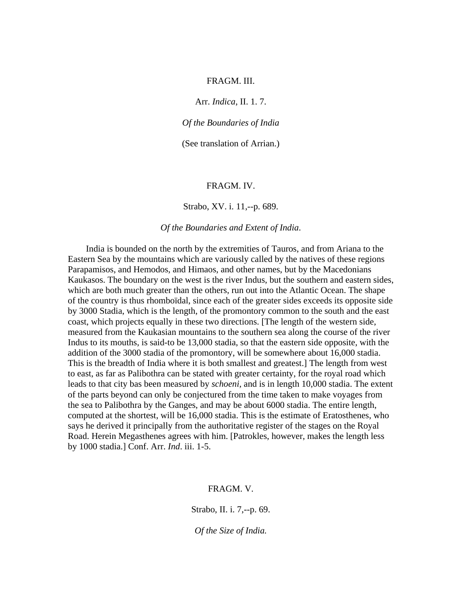## FRAGM. III.

Arr. *Indica*, II. 1. 7.

*Of the Boundaries of India* 

(See translation of Arrian.)

#### FRAGM. IV.

Strabo, XV. i. 11,--p. 689.

*Of the Boundaries and Extent of India*.

 India is bounded on the north by the extremities of Tauros, and from Ariana to the Eastern Sea by the mountains which are variously called by the natives of these regions Parapamisos, and Hemodos, and Himaos, and other names, but by the Macedonians Kaukasos. The boundary on the west is the river Indus, but the southern and eastern sides, which are both much greater than the others, run out into the Atlantic Ocean. The shape of the country is thus rhomboïdal, since each of the greater sides exceeds its opposite side by 3000 Stadia, which is the length, of the promontory common to the south and the east coast, which projects equally in these two directions. [The length of the western side, measured from the Kaukasian mountains to the southern sea along the course of the river Indus to its mouths, is said-to be 13,000 stadia, so that the eastern side opposite, with the addition of the 3000 stadia of the promontory, will be somewhere about 16,000 stadia. This is the breadth of India where it is both smallest and greatest.] The length from west to east, as far as Palibothra can be stated with greater certainty, for the royal road which leads to that city bas been measured by *schoeni,* and is in length 10,000 stadia. The extent of the parts beyond can only be conjectured from the time taken to make voyages from the sea to Palibothra by the Ganges, and may be about 6000 stadia. The entire length, computed at the shortest, will be 16,000 stadia. This is the estimate of Eratosthenes, who says he derived it principally from the authoritative register of the stages on the Royal Road. Herein Megasthenes agrees with him. [Patrokles, however, makes the length less by 1000 stadia.] Conf. Arr. *Ind*. iii. 1-5.

#### FRAGM. V.

Strabo, II. i. 7,--p. 69.

*Of the Size of India.*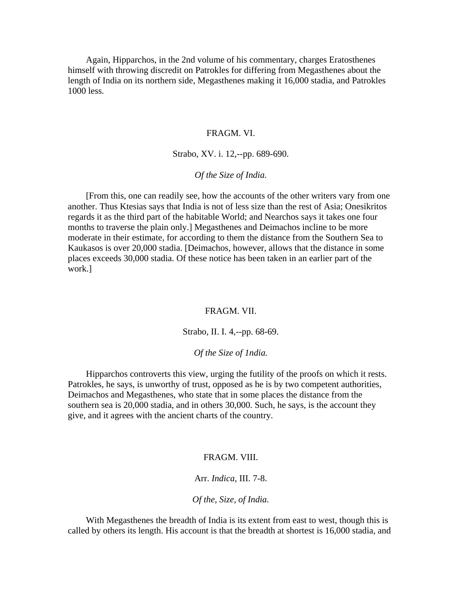Again, Hipparchos, in the 2nd volume of his commentary, charges Eratosthenes himself with throwing discredit on Patrokles for differing from Megasthenes about the length of India on its northern side, Megasthenes making it 16,000 stadia, and Patrokles 1000 less*.*

#### FRAGM. VI.

Strabo, XV. i. 12,--pp. 689-690.

*Of the Size of India.* 

 [From this, one can readily see, how the accounts of the other writers vary from one another. Thus Ktesias says that India is not of less size than the rest of Asia; Onesikritos regards it as the third part of the habitable World; and Nearchos says it takes one four months to traverse the plain only.] Megasthenes and Deimachos incline to be more moderate in their estimate, for according to them the distance from the Southern Sea to Kaukasos is over 20,000 stadia. [Deimachos, however, allows that the distance in some places exceeds 30,000 stadia. Of these notice has been taken in an earlier part of the work.]

#### FRAGM. VII.

Strabo, II. I. 4,--pp. 68-69.

*Of the Size of 1ndia.* 

 Hipparchos controverts this view, urging the futility of the proofs on which it rests. Patrokles, he says, is unworthy of trust, opposed as he is by two competent authorities, Deimachos and Megasthenes, who state that in some places the distance from the southern sea is 20,000 stadia, and in others 30,000. Such, he says, is the account they give, and it agrees with the ancient charts of the country.

### FRAGM. VIII.

## Arr. *Indica*, III. 7-8.

*Of the, Size, of India.* 

 With Megasthenes the breadth of India is its extent from east to west, though this is called by others its length. His account is that the breadth at shortest is 16,000 stadia, and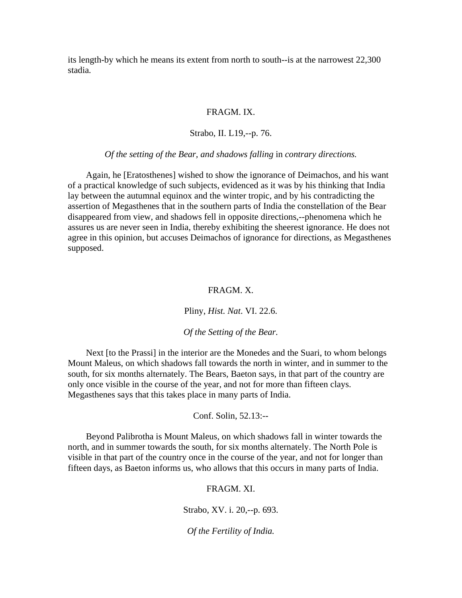its length-by which he means its extent from north to south--is at the narrowest 22,300 stadia*.*

### FRAGM. IX.

## Strabo, II. L19,--p. 76.

*Of the setting of the Bear, and shadows falling* in *contrary directions.*

 Again, he [Eratosthenes] wished to show the ignorance of Deimachos, and his want of a practical knowledge of such subjects, evidenced as it was by his thinking that India lay between the autumnal equinox and the winter tropic, and by his contradicting the assertion of Megasthenes that in the southern parts of India the constellation of the Bear disappeared from view, and shadows fell in opposite directions,--phenomena which he assures us are never seen in India, thereby exhibiting the sheerest ignorance. He does not agree in this opinion, but accuses Deimachos of ignorance for directions, as Megasthenes supposed.

#### FRAGM. X.

Pliny, *Hist. Nat*. VI. 22.6.

## *Of the Setting of the Bear.*

 Next [to the Prassi] in the interior are the Monedes and the Suari, to whom belongs Mount Maleus, on which shadows fall towards the north in winter, and in summer to the south, for six months alternately. The Bears, Baeton says, in that part of the country are only once visible in the course of the year, and not for more than fifteen clays. Megasthenes says that this takes place in many parts of India.

## Conf. Solin, 52.13:--

 Beyond Palibrotha is Mount Maleus, on which shadows fall in winter towards the north, and in summer towards the south, for six months alternately. The North Pole is visible in that part of the country once in the course of the year, and not for longer than fifteen days, as Baeton informs us, who allows that this occurs in many parts of India.

#### FRAGM. XI.

Strabo, XV. i. 20,--p. 693.

*Of the Fertility of India.*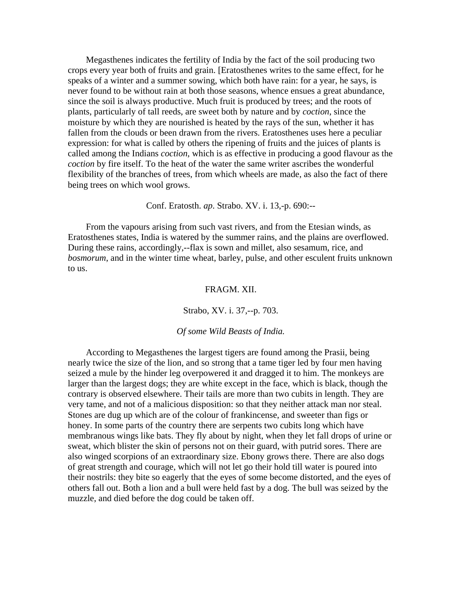Megasthenes indicates the fertility of India by the fact of the soil producing two crops every year both of fruits and grain. [Eratosthenes writes to the same effect, for he speaks of a winter and a summer sowing, which both have rain: for a year, he says, is never found to be without rain at both those seasons, whence ensues a great abundance, since the soil is always productive. Much fruit is produced by trees; and the roots of plants, particularly of tall reeds, are sweet both by nature and by *coction*, since the moisture by which they are nourished is heated by the rays of the sun, whether it has fallen from the clouds or been drawn from the rivers. Eratosthenes uses here a peculiar expression: for what is called by others the ripening of fruits and the juices of plants is called among the Indians *coction*, which is as effective in producing a good flavour as the *coction* by fire itself. To the heat of the water the same writer ascribes the wonderful flexibility of the branches of trees, from which wheels are made, as also the fact of there being trees on which wool grows.

Conf. Eratosth. *ap*. Strabo. XV. i. 13,-p. 690:--

 From the vapours arising from such vast rivers, and from the Etesian winds, as Eratosthenes states, India is watered by the summer rains, and the plains are overflowed. During these rains, accordingly,--flax is sown and millet, also sesamum, rice, and *bosmorum*, and in the winter time wheat, barley, pulse, and other esculent fruits unknown to us.

#### FRAGM. XII.

Strabo, XV. i. 37,--p. 703.

## *Of some Wild Beasts of India.*

 According to Megasthenes the largest tigers are found among the Prasii, being nearly twice the size of the lion, and so strong that a tame tiger led by four men having seized a mule by the hinder leg overpowered it and dragged it to him. The monkeys are larger than the largest dogs; they are white except in the face, which is black, though the contrary is observed elsewhere. Their tails are more than two cubits in length. They are very tame, and not of a malicious disposition: so that they neither attack man nor steal. Stones are dug up which are of the colour of frankincense, and sweeter than figs or honey. In some parts of the country there are serpents two cubits long which have membranous wings like bats. They fly about by night, when they let fall drops of urine or sweat, which blister the skin of persons not on their guard, with putrid sores. There are also winged scorpions of an extraordinary size. Ebony grows there. There are also dogs of great strength and courage, which will not let go their hold till water is poured into their nostrils: they bite so eagerly that the eyes of some become distorted, and the eyes of others fall out. Both a lion and a bull were held fast by a dog. The bull was seized by the muzzle, and died before the dog could be taken off.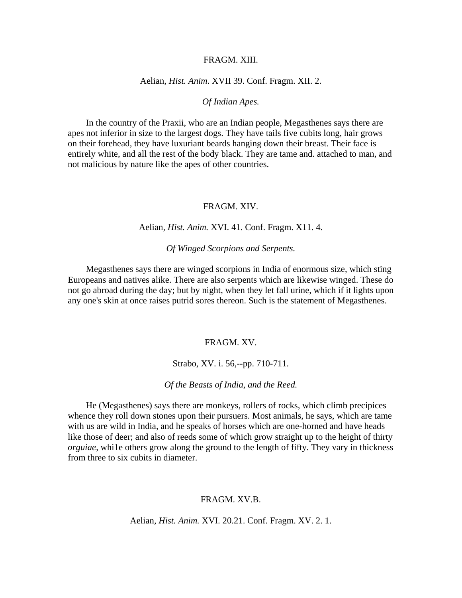#### FRAGM. XIII.

### Aelian, *Hist. Anim*. XVII 39. Conf. Fragm. XII. 2.

#### *Of Indian Apes.*

 In the country of the Praxii, who are an Indian people, Megasthenes says there are apes not inferior in size to the largest dogs. They have tails five cubits long, hair grows on their forehead, they have luxuriant beards hanging down their breast. Their face is entirely white, and all the rest of the body black. They are tame and. attached to man, and not malicious by nature like the apes of other countries.

#### FRAGM. XIV.

#### Aelian*, Hist. Anim.* XVI. 41. Conf. Fragm. X11. 4.

*Of Winged Scorpions and Serpents.* 

 Megasthenes says there are winged scorpions in India of enormous size, which sting Europeans and natives alike. There are also serpents which are likewise winged. These do not go abroad during the day; but by night, when they let fall urine, which if it lights upon any one's skin at once raises putrid sores thereon. Such is the statement of Megasthenes.

## FRAGM. XV.

## Strabo, XV. i. 56,--pp. 710-711.

*Of the Beasts of India*, *and the Reed.*

 He (Megasthenes) says there are monkeys, rollers of rocks, which climb precipices whence they roll down stones upon their pursuers. Most animals, he says, which are tame with us are wild in India, and he speaks of horses which are one-horned and have heads like those of deer; and also of reeds some of which grow straight up to the height of thirty *orguiae*, whi1e others grow along the ground to the length of fifty. They vary in thickness from three to six cubits in diameter.

## FRAGM. XV.B.

Aelian*, Hist. Anim.* XVI. 20.21. Conf. Fragm. XV. 2. 1.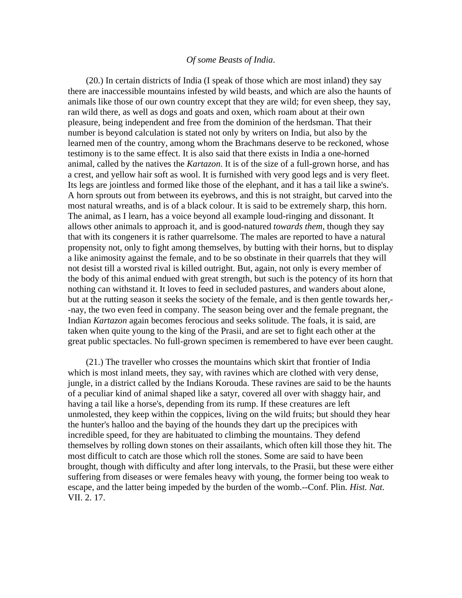#### *Of some Beasts of India*.

 (20.) In certain districts of India (I speak of those which are most inland) they say there are inaccessible mountains infested by wild beasts, and which are also the haunts of animals like those of our own country except that they are wild; for even sheep, they say, ran wild there, as well as dogs and goats and oxen, which roam about at their own pleasure, being independent and free from the dominion of the herdsman. That their number is beyond calculation is stated not only by writers on India, but also by the learned men of the country, among whom the Brachmans deserve to be reckoned, whose testimony is to the same effect. It is also said that there exists in India a one-horned animal, called by the natives the *Kartazon*. It is of the size of a full-grown horse, and has a crest, and yellow hair soft as wool. It is furnished with very good legs and is very fleet. Its legs are jointless and formed like those of the elephant, and it has a tail like a swine's. A horn sprouts out from between its eyebrows, and this is not straight, but carved into the most natural wreaths, and is of a black colour. It is said to be extremely sharp, this horn. The animal, as I learn, has a voice beyond all example loud-ringing and dissonant. It allows other animals to approach it, and is good-natured *towards them*, though they say that with its congeners it is rather quarrelsome. The males are reported to have a natural propensity not, only to fight among themselves, by butting with their horns, but to display a like animosity against the female, and to be so obstinate in their quarrels that they will not desist till a worsted rival is killed outright. But, again, not only is every member of the body of this animal endued with great strength, but such is the potency of its horn that nothing can withstand it. It loves to feed in secluded pastures, and wanders about alone, but at the rutting season it seeks the society of the female, and is then gentle towards her,- -nay, the two even feed in company. The season being over and the female pregnant, the Indian *Kartazon* again becomes ferocious and seeks solitude. The foals, it is said, are taken when quite young to the king of the Prasii, and are set to fight each other at the great public spectacles. No full-grown specimen is remembered to have ever been caught.

 (21.) The traveller who crosses the mountains which skirt that frontier of India which is most inland meets, they say, with ravines which are clothed with very dense, jungle, in a district called by the Indians Korouda. These ravines are said to be the haunts of a peculiar kind of animal shaped like a satyr, covered all over with shaggy hair, and having a tail like a horse's, depending from its rump. If these creatures are left unmolested, they keep within the coppices, living on the wild fruits; but should they hear the hunter's halloo and the baying of the hounds they dart up the precipices with incredible speed, for they are habituated to climbing the mountains. They defend themselves by rolling down stones on their assailants, which often kill those they hit. The most difficult to catch are those which roll the stones. Some are said to have been brought, though with difficulty and after long intervals, to the Prasii, but these were either suffering from diseases or were females heavy with young, the former being too weak to escape, and the latter being impeded by the burden of the womb.--Conf. Plin. *Hist. Nat.*  VII. 2. 17.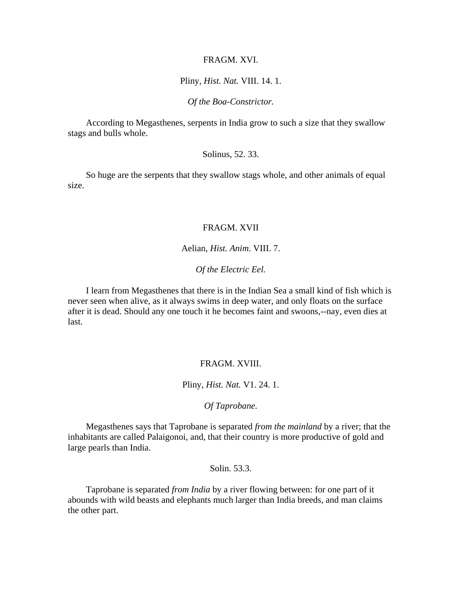#### FRAGM. XVI.

#### Pliny, *Hist. Nat.* VIII. 14. 1.

## *Of the Boa-Constrictor.*

 According to Megasthenes, serpents in India grow to such a size that they swallow stags and bulls whole.

### Solinus, 52. 33.

 So huge are the serpents that they swallow stags whole, and other animals of equal size.

#### FRAGM. XVII

### Aelian, *Hist. Anim*. VIII. 7.

## *Of the Electric Eel.*

 I learn from Megasthenes that there is in the Indian Sea a small kind of fish which is never seen when alive, as it always swims in deep water, and only floats on the surface after it is dead. Should any one touch it he becomes faint and swoons,--nay, even dies at last.

## FRAGM. XVIII.

#### Pliny, *Hist. Nat.* V1. 24. 1.

*Of Taprobane.* 

 Megasthenes says that Taprobane is separated *from the mainland* by a river; that the inhabitants are called Palaigonoi, and, that their country is more productive of gold and large pearls than India.

Solin. 53.3.

 Taprobane is separated *from India* by a river flowing between: for one part of it abounds with wild beasts and elephants much larger than India breeds, and man claims the other part.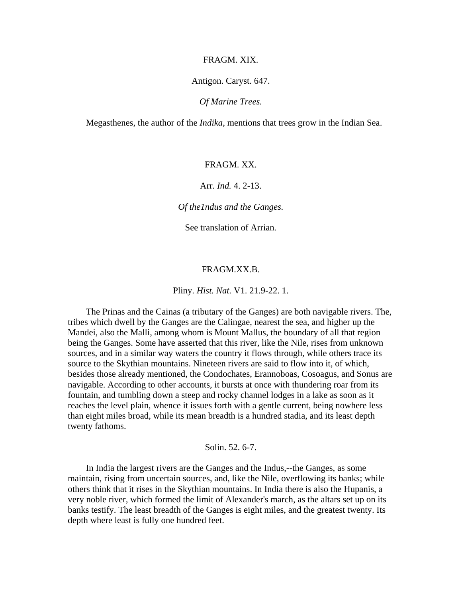### FRAGM. XIX.

Antigon. Caryst. 647.

*Of Marine Trees.*

Megasthenes, the author of the *Indika*, mentions that trees grow in the Indian Sea.

## FRAGM. XX.

Arr. *Ind.* 4. 2-13.

*Of the1ndus and the Ganges.* 

See translation of Arrian*.*

## FRAGM.XX.B.

### Pliny. *Hist. Nat.* V1. 21.9-22. 1.

 The Prinas and the Cainas (a tributary of the Ganges) are both navigable rivers. The, tribes which dwell by the Ganges are the Calingae, nearest the sea, and higher up the Mandei, also the Malli, among whom is Mount Mallus, the boundary of all that region being the Ganges. Some have asserted that this river, like the Nile, rises from unknown sources, and in a similar way waters the country it flows through, while others trace its source to the Skythian mountains. Nineteen rivers are said to flow into it, of which, besides those already mentioned, the Condochates, Erannoboas, Cosoagus, and Sonus are navigable. According to other accounts, it bursts at once with thundering roar from its fountain, and tumbling down a steep and rocky channel lodges in a lake as soon as it reaches the level plain, whence it issues forth with a gentle current, being nowhere less than eight miles broad, while its mean breadth is a hundred stadia, and its least depth twenty fathoms.

Solin. 52. 6-7.

 In India the largest rivers are the Ganges and the Indus,--the Ganges, as some maintain, rising from uncertain sources, and, like the Nile, overflowing its banks; while others think that it rises in the Skythian mountains. In India there is also the Hupanis, a very noble river, which formed the limit of Alexander's march, as the altars set up on its banks testify. The least breadth of the Ganges is eight miles, and the greatest twenty. Its depth where least is fully one hundred feet.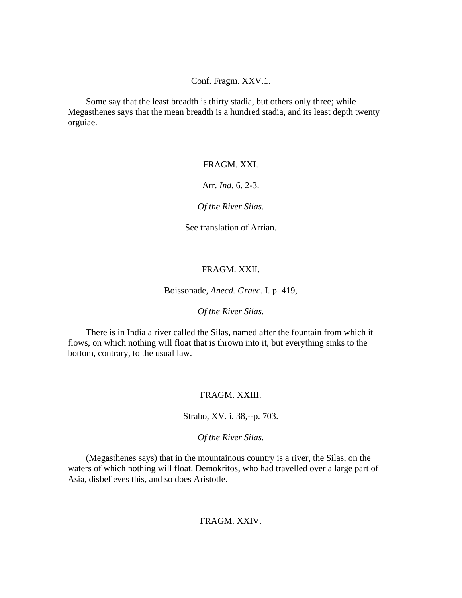## Conf. Fragm. XXV.1.

 Some say that the least breadth is thirty stadia, but others only three; while Megasthenes says that the mean breadth is a hundred stadia, and its least depth twenty orguiae.

## FRAGM. XXI.

Arr. *Ind*. 6. 2-3.

*Of the River Silas.* 

See translation of Arrian.

## FRAGM. XXII.

Boissonade, *Anecd. Graec.* I. p. 419,

*Of the River Silas.* 

 There is in India a river called the Silas, named after the fountain from which it flows, on which nothing will float that is thrown into it, but everything sinks to the bottom, contrary, to the usual law.

## FRAGM. XXIII.

Strabo, XV. i. 38,--p. 703.

*Of the River Silas.* 

 (Megasthenes says) that in the mountainous country is a river, the Silas, on the waters of which nothing will float. Demokritos, who had travelled over a large part of Asia, disbelieves this, and so does Aristotle.

## FRAGM. XXIV.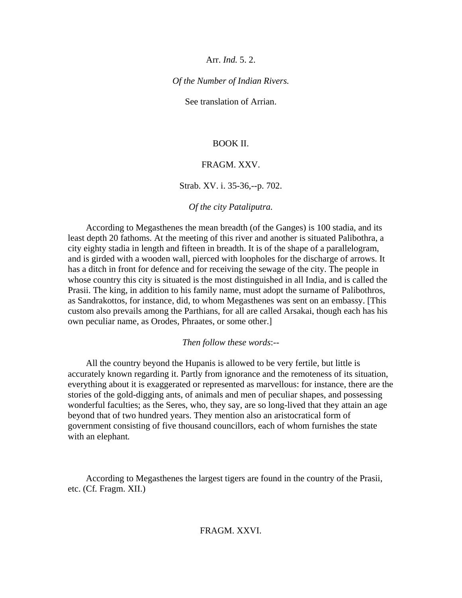## Arr. *Ind.* 5. 2.

## *Of the Number of Indian Rivers.*

See translation of Arrian.

## BOOK II.

## FRAGM. XXV.

## Strab. XV. i. 35-36,--p. 702.

## *Of the city Pataliputra.*

 According to Megasthenes the mean breadth (of the Ganges) is 100 stadia, and its least depth 20 fathoms. At the meeting of this river and another is situated Palibothra, a city eighty stadia in length and fifteen in breadth. It is of the shape of a parallelogram, and is girded with a wooden wall, pierced with loopholes for the discharge of arrows. It has a ditch in front for defence and for receiving the sewage of the city. The people in whose country this city is situated is the most distinguished in all India, and is called the Prasii. The king, in addition to his family name, must adopt the surname of Palibothros, as Sandrakottos, for instance, did, to whom Megasthenes was sent on an embassy. [This custom also prevails among the Parthians, for all are called Arsakai, though each has his own peculiar name, as Orodes, Phraates, or some other.]

*Then follow these words*:--

 All the country beyond the Hupanis is allowed to be very fertile, but little is accurately known regarding it. Partly from ignorance and the remoteness of its situation, everything about it is exaggerated or represented as marvellous: for instance, there are the stories of the gold-digging ants, of animals and men of peculiar shapes, and possessing wonderful faculties; as the Seres, who, they say, are so long-lived that they attain an age beyond that of two hundred years. They mention also an aristocratical form of government consisting of five thousand councillors, each of whom furnishes the state with an elephant*.*

 According to Megasthenes the largest tigers are found in the country of the Prasii, etc. (Cf*.* Fragm. XII.)

## FRAGM. XXVI.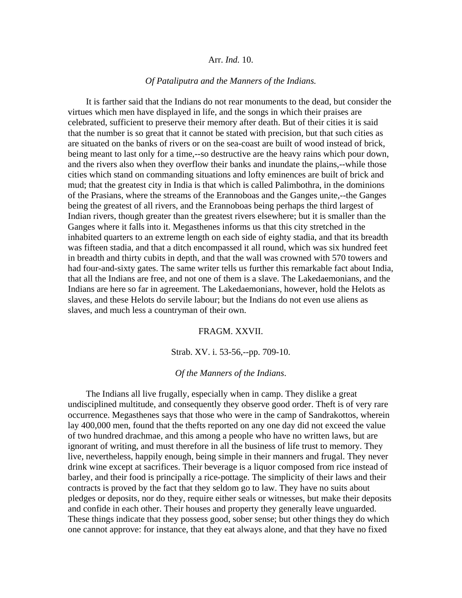#### Arr. *Ind.* 10.

### *Of Pataliputra and the Manners of the Indians.*

 It is farther said that the Indians do not rear monuments to the dead, but consider the virtues which men have displayed in life, and the songs in which their praises are celebrated, sufficient to preserve their memory after death. But of their cities it is said that the number is so great that it cannot be stated with precision, but that such cities as are situated on the banks of rivers or on the sea-coast are built of wood instead of brick, being meant to last only for a time,--so destructive are the heavy rains which pour down, and the rivers also when they overflow their banks and inundate the plains,--while those cities which stand on commanding situations and lofty eminences are built of brick and mud; that the greatest city in India is that which is called Palimbothra, in the dominions of the Prasians, where the streams of the Erannoboas and the Ganges unite,--the Ganges being the greatest of all rivers, and the Erannoboas being perhaps the third largest of Indian rivers, though greater than the greatest rivers elsewhere; but it is smaller than the Ganges where it falls into it. Megasthenes informs us that this city stretched in the inhabited quarters to an extreme length on each side of eighty stadia, and that its breadth was fifteen stadia, and that a ditch encompassed it all round, which was six hundred feet in breadth and thirty cubits in depth, and that the wall was crowned with 570 towers and had four-and-sixty gates. The same writer tells us further this remarkable fact about India, that all the Indians are free, and not one of them is a slave. The Lakedaemonians, and the Indians are here so far in agreement. The Lakedaemonians, however, hold the Helots as slaves, and these Helots do servile labour; but the Indians do not even use aliens as slaves, and much less a countryman of their own.

#### FRAGM. XXVII.

### Strab. XV. i. 53-56,--pp. 709-10.

#### *Of the Manners of the Indians*.

 The Indians all live frugally, especially when in camp. They dislike a great undisciplined multitude, and consequently they observe good order. Theft is of very rare occurrence. Megasthenes says that those who were in the camp of Sandrakottos, wherein lay 400,000 men, found that the thefts reported on any one day did not exceed the value of two hundred drachmae, and this among a people who have no written laws, but are ignorant of writing, and must therefore in all the business of life trust to memory. They live, nevertheless, happily enough, being simple in their manners and frugal. They never drink wine except at sacrifices. Their beverage is a liquor composed from rice instead of barley, and their food is principally a rice-pottage. The simplicity of their laws and their contracts is proved by the fact that they seldom go to law. They have no suits about pledges or deposits, nor do they, require either seals or witnesses, but make their deposits and confide in each other. Their houses and property they generally leave unguarded. These things indicate that they possess good, sober sense; but other things they do which one cannot approve: for instance, that they eat always alone, and that they have no fixed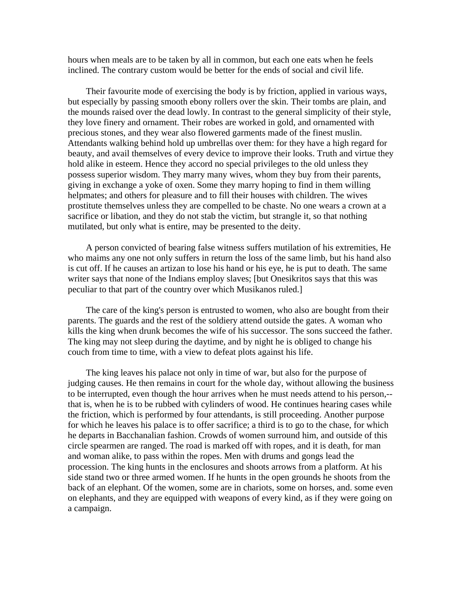hours when meals are to be taken by all in common, but each one eats when he feels inclined. The contrary custom would be better for the ends of social and civil life.

 Their favourite mode of exercising the body is by friction, applied in various ways, but especially by passing smooth ebony rollers over the skin. Their tombs are plain, and the mounds raised over the dead lowly. In contrast to the general simplicity of their style, they love finery and ornament. Their robes are worked in gold, and ornamented with precious stones, and they wear also flowered garments made of the finest muslin. Attendants walking behind hold up umbrellas over them: for they have a high regard for beauty, and avail themselves of every device to improve their looks. Truth and virtue they hold alike in esteem. Hence they accord no special privileges to the old unless they possess superior wisdom. They marry many wives, whom they buy from their parents, giving in exchange a yoke of oxen. Some they marry hoping to find in them willing helpmates; and others for pleasure and to fill their houses with children. The wives prostitute themselves unless they are compelled to be chaste. No one wears a crown at a sacrifice or libation, and they do not stab the victim, but strangle it, so that nothing mutilated, but only what is entire, may be presented to the deity.

 A person convicted of bearing false witness suffers mutilation of his extremities, He who maims any one not only suffers in return the loss of the same limb, but his hand also is cut off. If he causes an artizan to lose his hand or his eye, he is put to death. The same writer says that none of the Indians employ slaves; [but Onesikritos says that this was peculiar to that part of the country over which Musikanos ruled.]

 The care of the king's person is entrusted to women, who also are bought from their parents. The guards and the rest of the soldiery attend outside the gates. A woman who kills the king when drunk becomes the wife of his successor. The sons succeed the father. The king may not sleep during the daytime, and by night he is obliged to change his couch from time to time, with a view to defeat plots against his life.

 The king leaves his palace not only in time of war, but also for the purpose of judging causes. He then remains in court for the whole day, without allowing the business to be interrupted, even though the hour arrives when he must needs attend to his person,- that is, when he is to be rubbed with cylinders of wood. He continues hearing cases while the friction, which is performed by four attendants, is still proceeding. Another purpose for which he leaves his palace is to offer sacrifice; a third is to go to the chase, for which he departs in Bacchanalian fashion. Crowds of women surround him, and outside of this circle spearmen are ranged. The road is marked off with ropes, and it is death, for man and woman alike, to pass within the ropes. Men with drums and gongs lead the procession. The king hunts in the enclosures and shoots arrows from a platform. At his side stand two or three armed women. If he hunts in the open grounds he shoots from the back of an elephant. Of the women, some are in chariots, some on horses, and. some even on elephants, and they are equipped with weapons of every kind, as if they were going on a campaign.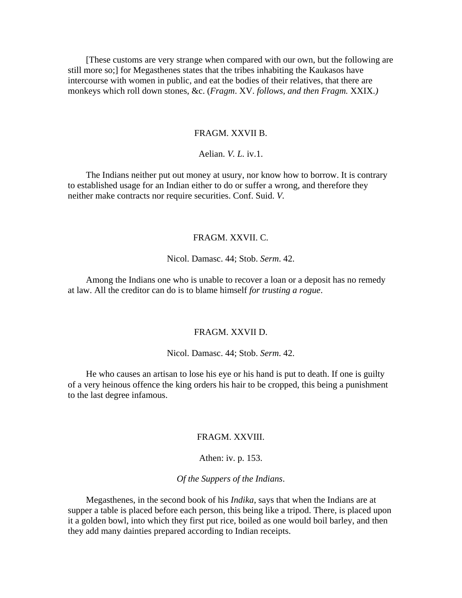[These customs are very strange when compared with our own, but the following are still more so;] for Megasthenes states that the tribes inhabiting the Kaukasos have intercourse with women in public, and eat the bodies of their relatives, that there are monkeys which roll down stones, &c. (*Fragm*. XV. *follows, and then Fragm.* XXIX.*)*

#### FRAGM. XXVII B.

## Aelian. *V. L.* iv.1.

 The Indians neither put out money at usury, nor know how to borrow. It is contrary to established usage for an Indian either to do or suffer a wrong, and therefore they neither make contracts nor require securities. Conf. Suid. *V.*

#### FRAGM. XXVII. C.

### Nicol. Damasc. 44; Stob. *Serm*. 42.

 Among the Indians one who is unable to recover a loan or a deposit has no remedy at law. All the creditor can do is to blame himself *for trusting a rogue*.

### FRAGM. XXVII D.

### Nicol. Damasc. 44; Stob. *Serm*. 42.

 He who causes an artisan to lose his eye or his hand is put to death. If one is guilty of a very heinous offence the king orders his hair to be cropped, this being a punishment to the last degree infamous.

### FRAGM. XXVIII.

## Athen: iv. p. 153.

## *Of the Suppers of the Indians*.

 Megasthenes, in the second book of his *Indika*, says that when the Indians are at supper a table is placed before each person, this being like a tripod. There, is placed upon it a golden bowl, into which they first put rice, boiled as one would boil barley, and then they add many dainties prepared according to Indian receipts.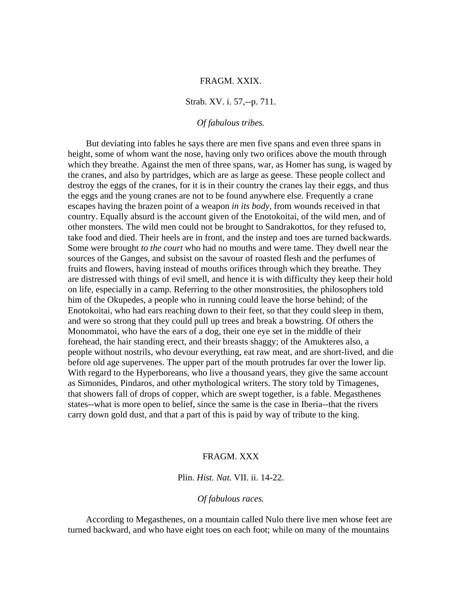## FRAGM. XXIX.

## Strab. XV. i. 57,--p. 711.

## *Of fabulous tribes.*

 But deviating into fables he says there are men five spans and even three spans in height, some of whom want the nose, having only two orifices above the mouth through which they breathe. Against the men of three spans, war, as Homer has sung, is waged by the cranes, and also by partridges, which are as large as geese. These people collect and destroy the eggs of the cranes, for it is in their country the cranes lay their eggs, and thus the eggs and the young cranes are not to be found anywhere else. Frequently a crane escapes having the brazen point of a weapon *in its body*, from wounds received in that country. Equally absurd is the account given of the Enotokoitai, of the wild men, and of other monsters. The wild men could not be brought to Sandrakottos, for they refused to, take food and died. Their heels are in front, and the instep and toes are turned backwards. Some were brought *to the court* who had no mouths and were tame. They dwell near the sources of the Ganges, and subsist on the savour of roasted flesh and the perfumes of fruits and flowers, having instead of mouths orifices through which they breathe. They are distressed with things of evil smell, and hence it is with difficulty they keep their hold on life, especially in a camp. Referring to the other monstrosities, the philosophers told him of the Okupedes, a people who in running could leave the horse behind; of the Enotokoitai, who had ears reaching down to their feet, so that they could sleep in them, and were so strong that they could pull up trees and break a bowstring. Of others the Monommatoi, who have the ears of a dog, their one eye set in the middle of their forehead, the hair standing erect, and their breasts shaggy; of the Amukteres also, a people without nostrils, who devour everything, eat raw meat, and are short-lived, and die before old age supervenes. The upper part of the mouth protrudes far over the lower lip. With regard to the Hyperboreans, who live a thousand years, they give the same account as Simonides, Pindaros, and other mythological writers. The story told by Timagenes, that showers fall of drops of copper, which are swept together, is a fable. Megasthenes states--what is more open to belief, since the same is the case in Iberia--that the rivers carry down gold dust, and that a part of this is paid by way of tribute to the king.

### FRAGM. XXX

## Plin. *Hist. Nat.* VII. ii. 14-22.

#### *Of fabulous races.*

 According to Megasthenes, on a mountain called Nulo there live men whose feet are turned backward, and who have eight toes on each foot; while on many of the mountains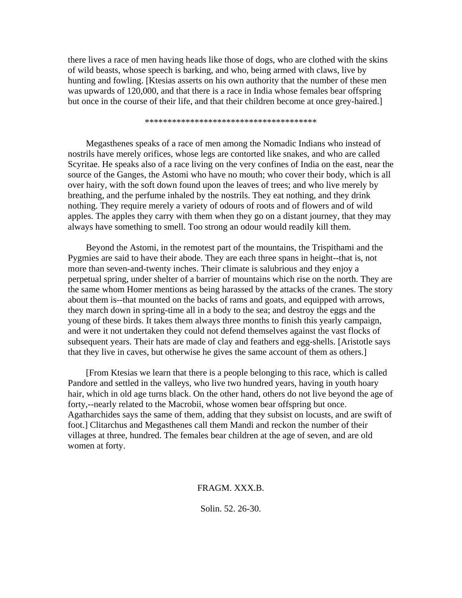there lives a race of men having heads like those of dogs, who are clothed with the skins of wild beasts, whose speech is barking, and who, being armed with claws, live by hunting and fowling. [Ktesias asserts on his own authority that the number of these men was upwards of 120,000, and that there is a race in India whose females bear offspring but once in the course of their life, and that their children become at once grey-haired.]

\*\*\*\*\*\*\*\*\*\*\*\*\*\*\*\*\*\*\*\*\*\*\*\*\*\*\*\*\*\*\*\*\*\*\*\*\*\*

 Megasthenes speaks of a race of men among the Nomadic Indians who instead of nostrils have merely orifices, whose legs are contorted like snakes, and who are called Scyritae. He speaks also of a race living on the very confines of India on the east, near the source of the Ganges, the Astomi who have no mouth; who cover their body, which is all over hairy, with the soft down found upon the leaves of trees; and who live merely by breathing, and the perfume inhaled by the nostrils. They eat nothing, and they drink nothing. They require merely a variety of odours of roots and of flowers and of wild apples. The apples they carry with them when they go on a distant journey, that they may always have something to smell. Too strong an odour would readily kill them.

 Beyond the Astomi, in the remotest part of the mountains, the Trispithami and the Pygmies are said to have their abode. They are each three spans in height--that is, not more than seven-and-twenty inches. Their climate is salubrious and they enjoy a perpetual spring, under shelter of a barrier of mountains which rise on the north. They are the same whom Homer mentions as being harassed by the attacks of the cranes. The story about them is--that mounted on the backs of rams and goats, and equipped with arrows, they march down in spring-time all in a body to the sea; and destroy the eggs and the young of these birds. It takes them always three months to finish this yearly campaign, and were it not undertaken they could not defend themselves against the vast flocks of subsequent years. Their hats are made of clay and feathers and egg-shells. [Aristotle says that they live in caves, but otherwise he gives the same account of them as others.]

 [From Ktesias we learn that there is a people belonging to this race, which is called Pandore and settled in the valleys, who live two hundred years, having in youth hoary hair, which in old age turns black. On the other hand, others do not live beyond the age of forty,--nearly related to the Macrobii, whose women bear offspring but once. Agatharchides says the same of them, adding that they subsist on locusts, and are swift of foot.] Clitarchus and Megasthenes call them Mandi and reckon the number of their villages at three, hundred. The females bear children at the age of seven, and are old women at forty.

#### FRAGM. XXX.B.

Solin. 52. 26-30.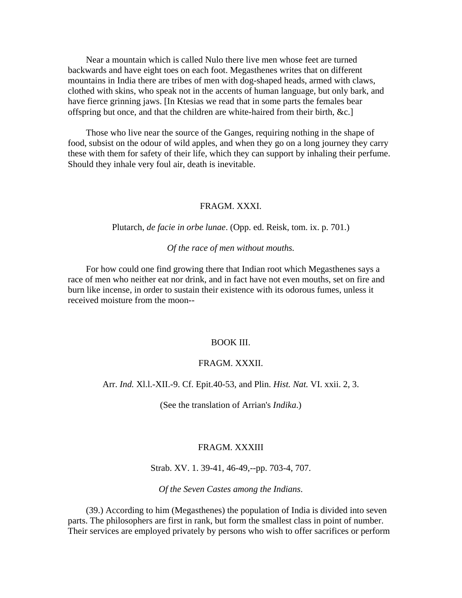Near a mountain which is called Nulo there live men whose feet are turned backwards and have eight toes on each foot. Megasthenes writes that on different mountains in India there are tribes of men with dog-shaped heads, armed with claws, clothed with skins, who speak not in the accents of human language, but only bark, and have fierce grinning jaws. [In Ktesias we read that in some parts the females bear offspring but once, and that the children are white-haired from their birth, &c.]

 Those who live near the source of the Ganges, requiring nothing in the shape of food, subsist on the odour of wild apples, and when they go on a long journey they carry these with them for safety of their life, which they can support by inhaling their perfume. Should they inhale very foul air, death is inevitable.

### FRAGM. XXXI.

#### Plutarch, *de facie in orbe lunae*. (Opp. ed. Reisk, tom. ix. p. 701.)

#### *Of the race of men without mouths.*

 For how could one find growing there that Indian root which Megasthenes says a race of men who neither eat nor drink, and in fact have not even mouths, set on fire and burn like incense, in order to sustain their existence with its odorous fumes, unless it received moisture from the moon--

### BOOK III.

### FRAGM. XXXII.

#### Arr. *Ind.* Xl.l.-XII.-9. Cf. Epit.40-53, and Plin. *Hist. Nat.* VI. xxii. 2, 3.

(See the translation of Arrian's *Indika*.)

#### FRAGM. XXXIII

#### Strab. XV. 1. 39-41, 46-49,--pp. 703-4, 707.

#### *Of the Seven Castes among the Indians*.

 (39.) According to him (Megasthenes) the population of India is divided into seven parts. The philosophers are first in rank, but form the smallest class in point of number. Their services are employed privately by persons who wish to offer sacrifices or perform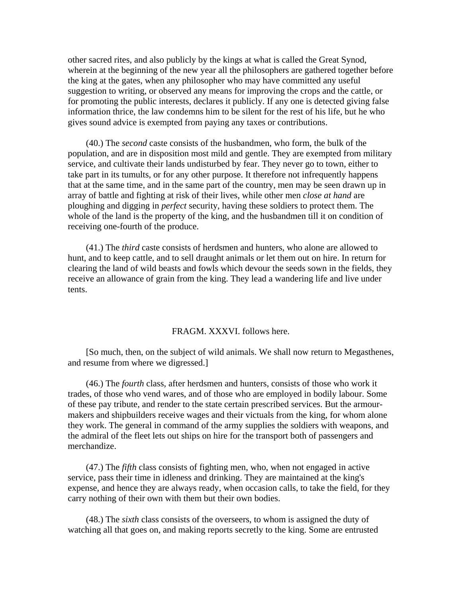other sacred rites, and also publicly by the kings at what is called the Great Synod, wherein at the beginning of the new year all the philosophers are gathered together before the king at the gates, when any philosopher who may have committed any useful suggestion to writing, or observed any means for improving the crops and the cattle, or for promoting the public interests, declares it publicly. If any one is detected giving false information thrice, the law condemns him to be silent for the rest of his life, but he who gives sound advice is exempted from paying any taxes or contributions.

 (40.) The *second* caste consists of the husbandmen, who form, the bulk of the population, and are in disposition most mild and gentle. They are exempted from military service, and cultivate their lands undisturbed by fear. They never go to town, either to take part in its tumults, or for any other purpose. It therefore not infrequently happens that at the same time, and in the same part of the country, men may be seen drawn up in array of battle and fighting at risk of their lives, while other men *close at hand* are ploughing and digging in *perfect* security, having these soldiers to protect them. The whole of the land is the property of the king, and the husbandmen till it on condition of receiving one-fourth of the produce.

 (41.) The *third* caste consists of herdsmen and hunters, who alone are allowed to hunt, and to keep cattle, and to sell draught animals or let them out on hire. In return for clearing the land of wild beasts and fowls which devour the seeds sown in the fields, they receive an allowance of grain from the king. They lead a wandering life and live under tents.

#### FRAGM. XXXVI. follows here.

 [So much, then, on the subject of wild animals. We shall now return to Megasthenes, and resume from where we digressed.]

 (46.) The *fourth* class, after herdsmen and hunters, consists of those who work it trades, of those who vend wares, and of those who are employed in bodily labour. Some of these pay tribute, and render to the state certain prescribed services. But the armourmakers and shipbuilders receive wages and their victuals from the king, for whom alone they work. The general in command of the army supplies the soldiers with weapons, and the admiral of the fleet lets out ships on hire for the transport both of passengers and merchandize.

 (47.) The *fifth* class consists of fighting men, who, when not engaged in active service, pass their time in idleness and drinking. They are maintained at the king's expense, and hence they are always ready, when occasion calls, to take the field, for they carry nothing of their own with them but their own bodies.

 (48.) The *sixth* class consists of the overseers, to whom is assigned the duty of watching all that goes on, and making reports secretly to the king. Some are entrusted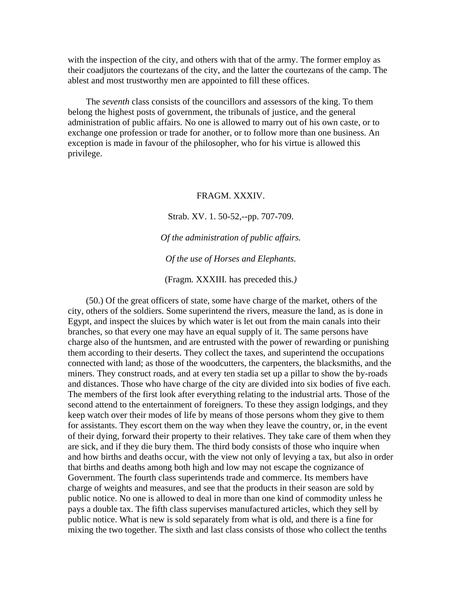with the inspection of the city, and others with that of the army. The former employ as their coadjutors the courtezans of the city, and the latter the courtezans of the camp. The ablest and most trustworthy men are appointed to fill these offices.

 The *seventh* class consists of the councillors and assessors of the king. To them belong the highest posts of government, the tribunals of justice, and the general administration of public affairs. No one is allowed to marry out of his own caste, or to exchange one profession or trade for another, or to follow more than one business. An exception is made in favour of the philosopher, who for his virtue is allowed this privilege.

#### FRAGM. XXXIV.

Strab. XV. 1. 50-52,--pp. 707-709.

*Of the administration of public affairs.* 

*Of the use of Horses and Elephants.* 

(Fragm*.* XXXIII*.* has preceded this*.)*

 (50.) Of the great officers of state, some have charge of the market, others of the city, others of the soldiers. Some superintend the rivers, measure the land, as is done in Egypt, and inspect the sluices by which water is let out from the main canals into their branches, so that every one may have an equal supply of it. The same persons have charge also of the huntsmen, and are entrusted with the power of rewarding or punishing them according to their deserts. They collect the taxes, and superintend the occupations connected with land; as those of the woodcutters, the carpenters, the blacksmiths, and the miners. They construct roads, and at every ten stadia set up a pillar to show the by-roads and distances. Those who have charge of the city are divided into six bodies of five each. The members of the first look after everything relating to the industrial arts. Those of the second attend to the entertainment of foreigners. To these they assign lodgings, and they keep watch over their modes of life by means of those persons whom they give to them for assistants. They escort them on the way when they leave the country, or, in the event of their dying, forward their property to their relatives. They take care of them when they are sick, and if they die bury them. The third body consists of those who inquire when and how births and deaths occur, with the view not only of levying a tax, but also in order that births and deaths among both high and low may not escape the cognizance of Government. The fourth class superintends trade and commerce. Its members have charge of weights and measures, and see that the products in their season are sold by public notice. No one is allowed to deal in more than one kind of commodity unless he pays a double tax. The fifth class supervises manufactured articles, which they sell by public notice. What is new is sold separately from what is old, and there is a fine for mixing the two together. The sixth and last class consists of those who collect the tenths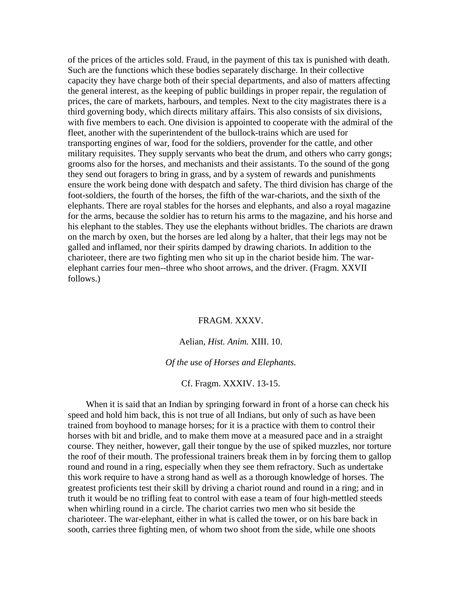of the prices of the articles sold. Fraud, in the payment of this tax is punished with death. Such are the functions which these bodies separately discharge. In their collective capacity they have charge both of their special departments, and also of matters affecting the general interest, as the keeping of public buildings in proper repair, the regulation of prices, the care of markets, harbours, and temples. Next to the city magistrates there is a third governing body, which directs military affairs. This also consists of six divisions, with five members to each. One division is appointed to cooperate with the admiral of the fleet, another with the superintendent of the bullock-trains which are used for transporting engines of war, food for the soldiers, provender for the cattle, and other military requisites. They supply servants who beat the drum, and others who carry gongs; grooms also for the horses, and mechanists and their assistants. To the sound of the gong they send out foragers to bring in grass, and by a system of rewards and punishments ensure the work being done with despatch and safety. The third division has charge of the foot-soldiers, the fourth of the horses, the fifth of the war-chariots, and the sixth of the elephants. There are royal stables for the horses and elephants, and also a royal magazine for the arms, because the soldier has to return his arms to the magazine, and his horse and his elephant to the stables. They use the elephants without bridles. The chariots are drawn on the march by oxen, but the horses are led along by a halter, that their legs may not be galled and inflamed, nor their spirits damped by drawing chariots. In addition to the charioteer, there are two fighting men who sit up in the chariot beside him. The warelephant carries four men--three who shoot arrows, and the driver. (Fragm. XXVII follows.)

## FRAGM. XXXV.

### Aelian, *Hist. Anim.* XIII. 10.

### *Of the use of Horses and Elephants.*

#### Cf. Fragm. XXXIV. 13-15.

 When it is said that an Indian by springing forward in front of a horse can check his speed and hold him back, this is not true of all Indians, but only of such as have been trained from boyhood to manage horses; for it is a practice with them to control their horses with bit and bridle, and to make them move at a measured pace and in a straight course. They neither, however, gall their tongue by the use of spiked muzzles, nor torture the roof of their mouth. The professional trainers break them in by forcing them to gallop round and round in a ring, especially when they see them refractory. Such as undertake this work require to have a strong hand as well as a thorough knowledge of horses. The greatest proficients test their skill by driving a chariot round and round in a ring; and in truth it would be no trifling feat to control with ease a team of four high-mettled steeds when whirling round in a circle. The chariot carries two men who sit beside the charioteer. The war-elephant, either in what is called the tower, or on his bare back in sooth, carries three fighting men, of whom two shoot from the side, while one shoots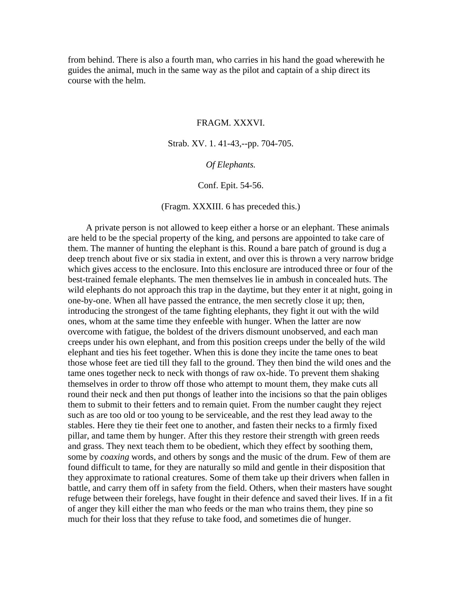from behind. There is also a fourth man, who carries in his hand the goad wherewith he guides the animal, much in the same way as the pilot and captain of a ship direct its course with the helm.

## FRAGM. XXXVI.

Strab. XV. 1. 41-43,--pp. 704-705.

## *Of Elephants.*

#### Conf. Epit. 54-56.

### (Fragm. XXXIII. 6 has preceded this.)

 A private person is not allowed to keep either a horse or an elephant. These animals are held to be the special property of the king, and persons are appointed to take care of them. The manner of hunting the elephant is this. Round a bare patch of ground is dug a deep trench about five or six stadia in extent, and over this is thrown a very narrow bridge which gives access to the enclosure. Into this enclosure are introduced three or four of the best-trained female elephants. The men themselves lie in ambush in concealed huts. The wild elephants do not approach this trap in the daytime, but they enter it at night, going in one-by-one. When all have passed the entrance, the men secretly close it up; then, introducing the strongest of the tame fighting elephants, they fight it out with the wild ones, whom at the same time they enfeeble with hunger. When the latter are now overcome with fatigue, the boldest of the drivers dismount unobserved, and each man creeps under his own elephant, and from this position creeps under the belly of the wild elephant and ties his feet together. When this is done they incite the tame ones to beat those whose feet are tied till they fall to the ground. They then bind the wild ones and the tame ones together neck to neck with thongs of raw ox-hide. To prevent them shaking themselves in order to throw off those who attempt to mount them, they make cuts all round their neck and then put thongs of leather into the incisions so that the pain obliges them to submit to their fetters and to remain quiet. From the number caught they reject such as are too old or too young to be serviceable, and the rest they lead away to the stables. Here they tie their feet one to another, and fasten their necks to a firmly fixed pillar, and tame them by hunger. After this they restore their strength with green reeds and grass. They next teach them to be obedient, which they effect by soothing them, some by *coaxing* words, and others by songs and the music of the drum. Few of them are found difficult to tame, for they are naturally so mild and gentle in their disposition that they approximate to rational creatures. Some of them take up their drivers when fallen in battle, and carry them off in safety from the field. Others, when their masters have sought refuge between their forelegs, have fought in their defence and saved their lives. If in a fit of anger they kill either the man who feeds or the man who trains them, they pine so much for their loss that they refuse to take food, and sometimes die of hunger.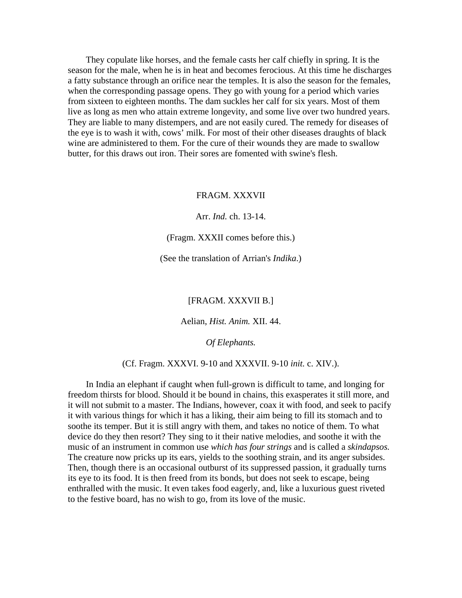They copulate like horses, and the female casts her calf chiefly in spring. It is the season for the male, when he is in heat and becomes ferocious. At this time he discharges a fatty substance through an orifice near the temples. It is also the season for the females, when the corresponding passage opens. They go with young for a period which varies from sixteen to eighteen months. The dam suckles her calf for six years. Most of them live as long as men who attain extreme longevity, and some live over two hundred years. They are liable to many distempers, and are not easily cured. The remedy for diseases of the eye is to wash it with, cows' milk. For most of their other diseases draughts of black wine are administered to them. For the cure of their wounds they are made to swallow butter, for this draws out iron. Their sores are fomented with swine's flesh.

### FRAGM. XXXVII

Arr. *Ind.* ch. 13-14.

(Fragm. XXXII comes before this.)

(See the translation of Arrian's *Indika*.)

[FRAGM. XXXVII B.]

Aelian, *Hist. Anim.* XII. 44.

*Of Elephants.* 

(Cf. Fragm. XXXVI. 9-10 and XXXVII. 9-10 *init.* c. XIV.).

 In India an elephant if caught when full-grown is difficult to tame, and longing for freedom thirsts for blood. Should it be bound in chains, this exasperates it still more, and it will not submit to a master. The Indians, however, coax it with food, and seek to pacify it with various things for which it has a liking, their aim being to fill its stomach and to soothe its temper. But it is still angry with them, and takes no notice of them. To what device do they then resort? They sing to it their native melodies, and soothe it with the music of an instrument in common use *which has four strings* and is called a *skindapsos.*  The creature now pricks up its ears, yields to the soothing strain, and its anger subsides. Then, though there is an occasional outburst of its suppressed passion, it gradually turns its eye to its food. It is then freed from its bonds, but does not seek to escape, being enthralled with the music. It even takes food eagerly, and, like a luxurious guest riveted to the festive board, has no wish to go, from its love of the music.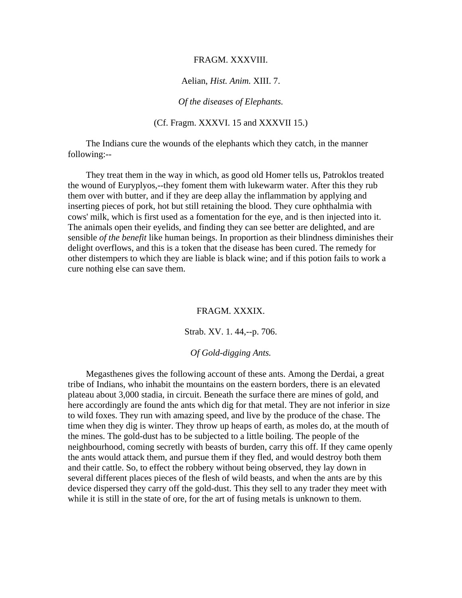#### FRAGM. XXXVIII.

#### Aelian, *Hist. Anim.* XIII. 7.

#### *Of the diseases of Elephants.*

(Cf. Fragm. XXXVI. 15 and XXXVII 15.)

 The Indians cure the wounds of the elephants which they catch, in the manner following:--

 They treat them in the way in which, as good old Homer tells us, Patroklos treated the wound of Euryplyos,--they foment them with lukewarm water. After this they rub them over with butter, and if they are deep allay the inflammation by applying and inserting pieces of pork, hot but still retaining the blood. They cure ophthalmia with cows' milk, which is first used as a fomentation for the eye, and is then injected into it. The animals open their eyelids, and finding they can see better are delighted, and are sensible *of the benefit* like human beings. In proportion as their blindness diminishes their delight overflows, and this is a token that the disease has been cured. The remedy for other distempers to which they are liable is black wine; and if this potion fails to work a cure nothing else can save them.

#### FRAGM. XXXIX.

Strab. XV. 1. 44,--p. 706.

## *Of Gold-digging Ants.*

 Megasthenes gives the following account of these ants. Among the Derdai, a great tribe of Indians, who inhabit the mountains on the eastern borders, there is an elevated plateau about 3,000 stadia, in circuit. Beneath the surface there are mines of gold, and here accordingly are found the ants which dig for that metal. They are not inferior in size to wild foxes. They run with amazing speed, and live by the produce of the chase. The time when they dig is winter. They throw up heaps of earth, as moles do, at the mouth of the mines. The gold-dust has to be subjected to a little boiling. The people of the neighbourhood, coming secretly with beasts of burden, carry this off. If they came openly the ants would attack them, and pursue them if they fled, and would destroy both them and their cattle. So, to effect the robbery without being observed, they lay down in several different places pieces of the flesh of wild beasts, and when the ants are by this device dispersed they carry off the gold-dust. This they sell to any trader they meet with while it is still in the state of ore, for the art of fusing metals is unknown to them.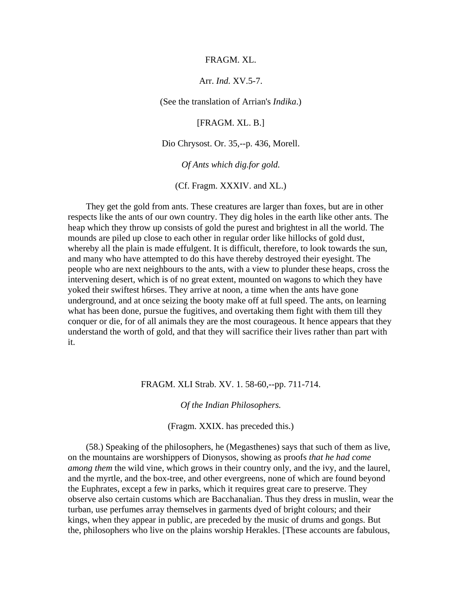## FRAGM. XL.

Arr. *Ind.* XV.5-7.

(See the translation of Arrian's *Indika*.)

[FRAGM. XL. B.]

Dio Chrysost. Or. 35,--p. 436, Morell.

*Of Ants which dig.for gold.*

(Cf. Fragm. XXXIV. and XL.)

 They get the gold from ants. These creatures are larger than foxes, but are in other respects like the ants of our own country. They dig holes in the earth like other ants. The heap which they throw up consists of gold the purest and brightest in all the world. The mounds are piled up close to each other in regular order like hillocks of gold dust, whereby all the plain is made effulgent. It is difficult, therefore, to look towards the sun, and many who have attempted to do this have thereby destroyed their eyesight. The people who are next neighbours to the ants, with a view to plunder these heaps, cross the intervening desert, which is of no great extent, mounted on wagons to which they have yoked their swiftest h6rses. They arrive at noon, a time when the ants have gone underground, and at once seizing the booty make off at full speed. The ants, on learning what has been done, pursue the fugitives, and overtaking them fight with them till they conquer or die, for of all animals they are the most courageous. It hence appears that they understand the worth of gold, and that they will sacrifice their lives rather than part with it.

#### FRAGM. XLI Strab. XV. 1. 58-60,--pp. 711-714.

*Of the Indian Philosophers.* 

(Fragm. XXIX. has preceded this.)

 (58.) Speaking of the philosophers, he (Megasthenes) says that such of them as live, on the mountains are worshippers of Dionysos, showing as proofs *that he had come among them* the wild vine, which grows in their country only, and the ivy, and the laurel, and the myrtle, and the box-tree, and other evergreens, none of which are found beyond the Euphrates, except a few in parks, which it requires great care to preserve. They observe also certain customs which are Bacchanalian. Thus they dress in muslin, wear the turban, use perfumes array themselves in garments dyed of bright colours; and their kings, when they appear in public, are preceded by the music of drums and gongs. But the, philosophers who live on the plains worship Herakles. [These accounts are fabulous,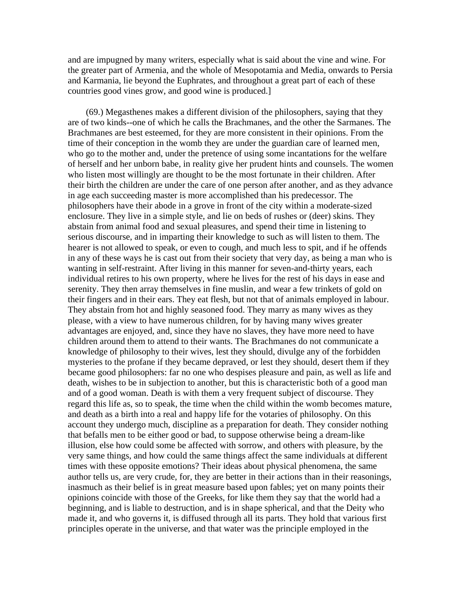and are impugned by many writers, especially what is said about the vine and wine. For the greater part of Armenia, and the whole of Mesopotamia and Media, onwards to Persia and Karmania, lie beyond the Euphrates, and throughout a great part of each of these countries good vines grow, and good wine is produced.]

 (69.) Megasthenes makes a different division of the philosophers, saying that they are of two kinds--one of which he calls the Brachmanes, and the other the Sarmanes. The Brachmanes are best esteemed, for they are more consistent in their opinions. From the time of their conception in the womb they are under the guardian care of learned men, who go to the mother and, under the pretence of using some incantations for the welfare of herself and her unborn babe, in reality give her prudent hints and counsels. The women who listen most willingly are thought to be the most fortunate in their children. After their birth the children are under the care of one person after another, and as they advance in age each succeeding master is more accomplished than his predecessor. The philosophers have their abode in a grove in front of the city within a moderate-sized enclosure. They live in a simple style, and lie on beds of rushes or (deer) skins. They abstain from animal food and sexual pleasures, and spend their time in listening to serious discourse, and in imparting their knowledge to such as will listen to them. The hearer is not allowed to speak, or even to cough, and much less to spit, and if he offends in any of these ways he is cast out from their society that very day, as being a man who is wanting in self-restraint. After living in this manner for seven-and-thirty years, each individual retires to his own property, where he lives for the rest of his days in ease and serenity. They then array themselves in fine muslin, and wear a few trinkets of gold on their fingers and in their ears. They eat flesh, but not that of animals employed in labour. They abstain from hot and highly seasoned food. They marry as many wives as they please, with a view to have numerous children, for by having many wives greater advantages are enjoyed, and, since they have no slaves, they have more need to have children around them to attend to their wants. The Brachmanes do not communicate a knowledge of philosophy to their wives, lest they should, divulge any of the forbidden mysteries to the profane if they became depraved, or lest they should, desert them if they became good philosophers: far no one who despises pleasure and pain, as well as life and death, wishes to be in subjection to another, but this is characteristic both of a good man and of a good woman. Death is with them a very frequent subject of discourse. They regard this life as, so to speak, the time when the child within the womb becomes mature, and death as a birth into a real and happy life for the votaries of philosophy. On this account they undergo much, discipline as a preparation for death. They consider nothing that befalls men to be either good or bad, to suppose otherwise being a dream-like illusion, else how could some be affected with sorrow, and others with pleasure, by the very same things, and how could the same things affect the same individuals at different times with these opposite emotions? Their ideas about physical phenomena, the same author tells us, are very crude, for, they are better in their actions than in their reasonings, inasmuch as their belief is in great measure based upon fables; yet on many points their opinions coincide with those of the Greeks, for like them they say that the world had a beginning, and is liable to destruction, and is in shape spherical, and that the Deity who made it, and who governs it, is diffused through all its parts. They hold that various first principles operate in the universe, and that water was the principle employed in the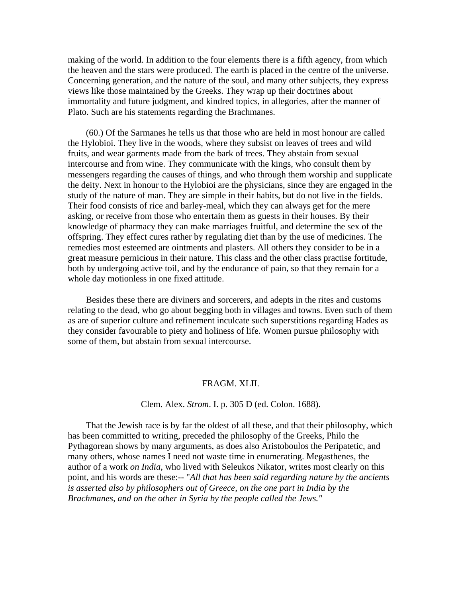making of the world. In addition to the four elements there is a fifth agency, from which the heaven and the stars were produced. The earth is placed in the centre of the universe. Concerning generation, and the nature of the soul, and many other subjects, they express views like those maintained by the Greeks. They wrap up their doctrines about immortality and future judgment, and kindred topics, in allegories, after the manner of Plato. Such are his statements regarding the Brachmanes.

 (60.) Of the Sarmanes he tells us that those who are held in most honour are called the Hylobioi. They live in the woods, where they subsist on leaves of trees and wild fruits, and wear garments made from the bark of trees. They abstain from sexual intercourse and from wine. They communicate with the kings, who consult them by messengers regarding the causes of things, and who through them worship and supplicate the deity. Next in honour to the Hylobioi are the physicians, since they are engaged in the study of the nature of man. They are simple in their habits, but do not live in the fields. Their food consists of rice and barley-meal, which they can always get for the mere asking, or receive from those who entertain them as guests in their houses. By their knowledge of pharmacy they can make marriages fruitful, and determine the sex of the offspring. They effect cures rather by regulating diet than by the use of medicines. The remedies most esteemed are ointments and plasters. All others they consider to be in a great measure pernicious in their nature. This class and the other class practise fortitude, both by undergoing active toil, and by the endurance of pain, so that they remain for a whole day motionless in one fixed attitude.

 Besides these there are diviners and sorcerers, and adepts in the rites and customs relating to the dead, who go about begging both in villages and towns. Even such of them as are of superior culture and refinement inculcate such superstitions regarding Hades as they consider favourable to piety and holiness of life. Women pursue philosophy with some of them, but abstain from sexual intercourse.

#### FRAGM. XLII.

#### Clem. Alex. *Strom*. I. p. 305 D (ed. Colon. 1688).

 That the Jewish race is by far the oldest of all these, and that their philosophy, which has been committed to writing, preceded the philosophy of the Greeks, Philo the Pythagorean shows by many arguments, as does also Aristoboulos the Peripatetic, and many others, whose names I need not waste time in enumerating. Megasthenes, the author of a work *on India*, who lived with Seleukos Nikator, writes most clearly on this point, and his words are these:-- "*All that has been said regarding nature by the ancients is asserted also by philosophers out of Greece, on the one part in India by the Brachmanes, and on the other in Syria by the people called the Jews."*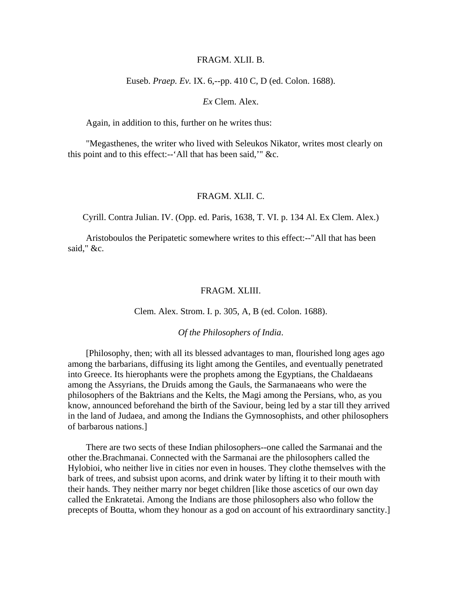#### FRAGM. XLII. B.

Euseb. *Praep. Ev.* IX. 6,--pp. 410 C, D (ed. Colon. 1688).

### *Ex* Clem. Alex.

Again, in addition to this, further on he writes thus:

 "Megasthenes, the writer who lived with Seleukos Nikator, writes most clearly on this point and to this effect:--'All that has been said,'" &c.

### FRAGM. XLII. C.

Cyrill. Contra Julian. IV. (Opp. ed. Paris, 1638, T. VI. p. 134 Al. Ex Clem. Alex.)

 Aristoboulos the Peripatetic somewhere writes to this effect:--"All that has been said," &c.

### FRAGM. XLIII.

Clem. Alex. Strom. I. p. 305, A, B (ed. Colon. 1688).

*Of the Philosophers of India*.

 [Philosophy, then; with all its blessed advantages to man, flourished long ages ago among the barbarians, diffusing its light among the Gentiles, and eventually penetrated into Greece. Its hierophants were the prophets among the Egyptians, the Chaldaeans among the Assyrians, the Druids among the Gauls, the Sarmanaeans who were the philosophers of the Baktrians and the Kelts, the Magi among the Persians, who, as you know, announced beforehand the birth of the Saviour, being led by a star till they arrived in the land of Judaea, and among the Indians the Gymnosophists, and other philosophers of barbarous nations.]

 There are two sects of these Indian philosophers--one called the Sarmanai and the other the.Brachmanai. Connected with the Sarmanai are the philosophers called the Hylobioi, who neither live in cities nor even in houses. They clothe themselves with the bark of trees, and subsist upon acorns, and drink water by lifting it to their mouth with their hands. They neither marry nor beget children [like those ascetics of our own day called the Enkratetai. Among the Indians are those philosophers also who follow the precepts of Boutta, whom they honour as a god on account of his extraordinary sanctity.]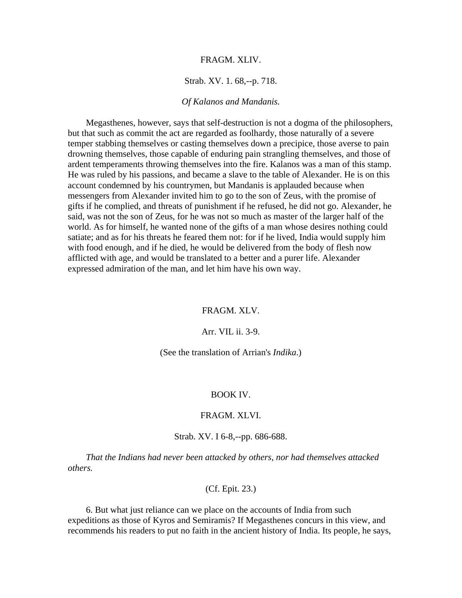#### FRAGM. XLIV.

#### Strab. XV. 1. 68,--p. 718.

#### *Of Kalanos and Mandanis.*

 Megasthenes, however, says that self-destruction is not a dogma of the philosophers, but that such as commit the act are regarded as foolhardy, those naturally of a severe temper stabbing themselves or casting themselves down a precipice, those averse to pain drowning themselves, those capable of enduring pain strangling themselves, and those of ardent temperaments throwing themselves into the fire. Kalanos was a man of this stamp. He was ruled by his passions, and became a slave to the table of Alexander. He is on this account condemned by his countrymen, but Mandanis is applauded because when messengers from Alexander invited him to go to the son of Zeus, with the promise of gifts if he complied, and threats of punishment if he refused, he did not go. Alexander, he said, was not the son of Zeus, for he was not so much as master of the larger half of the world. As for himself, he wanted none of the gifts of a man whose desires nothing could satiate; and as for his threats he feared them not: for if he lived, India would supply him with food enough, and if he died, he would be delivered from the body of flesh now afflicted with age, and would be translated to a better and a purer life. Alexander expressed admiration of the man, and let him have his own way.

## FRAGM. XLV.

### Arr. VIL ii. 3-9.

(See the translation of Arrian's *Indika*.)

#### BOOK IV.

#### FRAGM. XLVI.

Strab. XV. I 6-8,--pp. 686-688.

 *That the Indians had never been attacked by others, nor had themselves attacked others.* 

#### (Cf. Epit. 23.)

 6. But what just reliance can we place on the accounts of India from such expeditions as those of Kyros and Semiramis? If Megasthenes concurs in this view, and recommends his readers to put no faith in the ancient history of India. Its people, he says,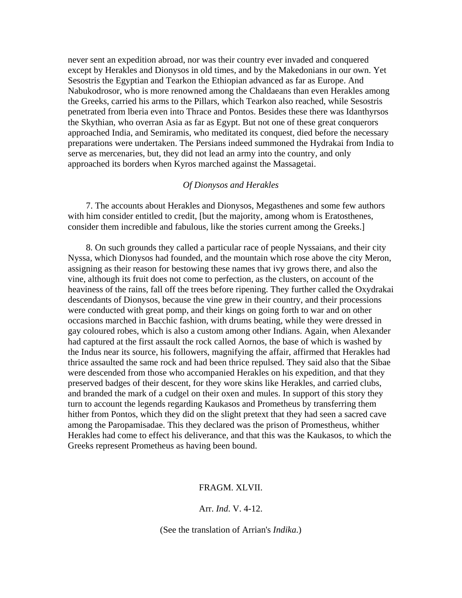never sent an expedition abroad, nor was their country ever invaded and conquered except by Herakles and Dionysos in old times*,* and by the Makedonians in our own. Yet Sesostris the Egyptian and Tearkon the Ethiopian advanced as far as Europe. And Nabukodrosor, who is more renowned among the Chaldaeans than even Herakles among the Greeks, carried his arms to the Pillars, which Tearkon also reached, while Sesostris penetrated from lberia even into Thrace and Pontos. Besides these there was Idanthyrsos the Skythian, who overran Asia as far as Egypt. But not one of these great conquerors approached India, and Semiramis, who meditated its conquest, died before the necessary preparations were undertaken. The Persians indeed summoned the Hydrakai from India to serve as mercenaries, but, they did not lead an army into the country, and only approached its borders when Kyros marched against the Massagetai.

#### *Of Dionysos and Herakles*

 7. The accounts about Herakles and Dionysos, Megasthenes and some few authors with him consider entitled to credit, [but the majority, among whom is Eratosthenes, consider them incredible and fabulous, like the stories current among the Greeks.]

 8. On such grounds they called a particular race of people Nyssaians, and their city Nyssa*,* which Dionysos had founded, and the mountain which rose above the city Meron, assigning as their reason for bestowing these names that ivy grows there, and also the vine, although its fruit does not come to perfection, as the clusters, on account of the heaviness of the rains, fall off the trees before ripening. They further called the Oxydrakai descendants of Dionysos, because the vine grew in their country, and their processions were conducted with great pomp, and their kings on going forth to war and on other occasions marched in Bacchic fashion, with drums beating, while they were dressed in gay coloured robes, which is also a custom among other Indians. Again, when Alexander had captured at the first assault the rock called Aornos, the base of which is washed by the Indus near its source, his followers, magnifying the affair, affirmed that Herakles had thrice assaulted the same rock and had been thrice repulsed. They said also that the Sibae were descended from those who accompanied Herakles on his expedition, and that they preserved badges of their descent, for they wore skins like Herakles, and carried clubs, and branded the mark of a cudgel on their oxen and mules. In support of this story they turn to account the legends regarding Kaukasos and Prometheus by transferring them hither from Pontos, which they did on the slight pretext that they had seen a sacred cave among the Paropamisadae. This they declared was the prison of Promestheus, whither Herakles had come to effect his deliverance, and that this was the Kaukasos, to which the Greeks represent Prometheus as having been bound.

## FRAGM. XLVII.

Arr. *Ind*. V. 4-12.

(See the translation of Arrian's *Indika*.)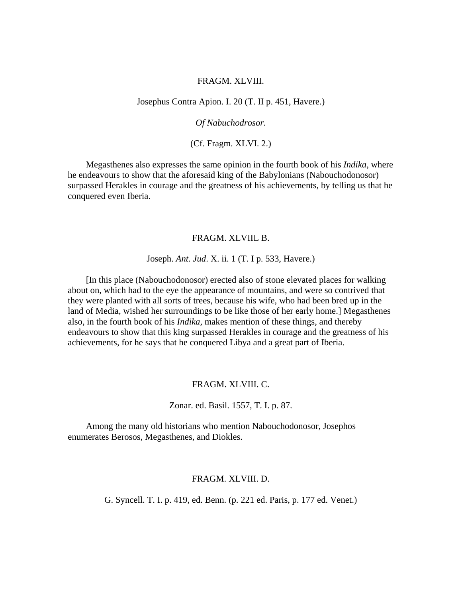## FRAGM. XLVIII.

### Josephus Contra Apion. I. 20 (T. II p. 451, Havere.)

## *Of Nabuchodrosor.*

(Cf. Fragm. XLVI. 2.)

 Megasthenes also expresses the same opinion in the fourth book of his *Indika,* where he endeavours to show that the aforesaid king of the Babylonians (Nabouchodonosor) surpassed Herakles in courage and the greatness of his achievements, by telling us that he conquered even Iberia.

#### FRAGM. XLVIIL B.

### Joseph. *Ant. Jud*. X. ii. 1 (T. I p. 533, Havere.)

 [In this place (Nabouchodonosor) erected also of stone elevated places for walking about on, which had to the eye the appearance of mountains, and were so contrived that they were planted with all sorts of trees, because his wife, who had been bred up in the land of Media, wished her surroundings to be like those of her early home.] Megasthenes also, in the fourth book of his *Indika,* makes mention of these things, and thereby endeavours to show that this king surpassed Herakles in courage and the greatness of his achievements, for he says that he conquered Libya and a great part of Iberia.

#### FRAGM. XLVIII. C.

#### Zonar. ed. Basil. 1557, T. I. p. 87.

 Among the many old historians who mention Nabouchodonosor, Josephos enumerates Berosos, Megasthenes, and Diokles.

## FRAGM. XLVIII. D.

G. Syncell. T. I. p. 419, ed. Benn. (p. 221 ed. Paris, p. 177 ed. Venet.)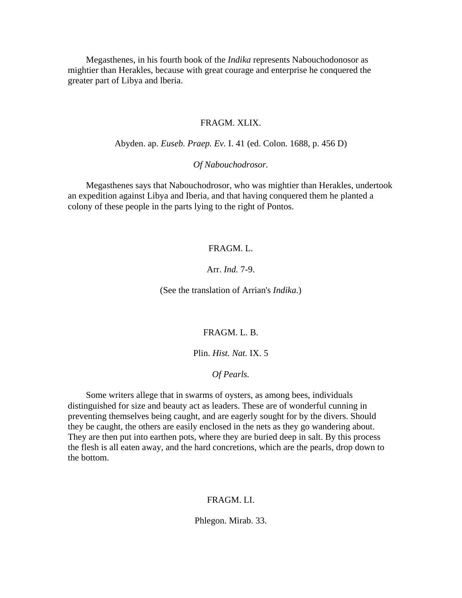Megasthenes, in his fourth book of the *Indika* represents Nabouchodonosor as mightier than Herakles, because with great courage and enterprise he conquered the greater part of Libya and lberia.

### FRAGM. XLIX.

Abyden. ap. *Euseb. Praep. Ev.* I. 41 (ed. Colon. 1688, p. 456 D)

*Of Nabouchodrosor.* 

 Megasthenes says that Nabouchodrosor, who was mightier than Herakles, undertook an expedition against Libya and Iberia, and that having conquered them he planted a colony of these people in the parts lying to the right of Pontos.

## FRAGM. L.

Arr. *Ind.* 7-9.

(See the translation of Arrian's *Indika*.)

## FRAGM. L. B.

## Plin. *Hist. Nat.* IX. 5

### *Of Pearls.*

 Some writers allege that in swarms of oysters, as among bees, individuals distinguished for size and beauty act as leaders. These are of wonderful cunning in preventing themselves being caught, and are eagerly sought for by the divers. Should they be caught, the others are easily enclosed in the nets as they go wandering about. They are then put into earthen pots, where they are buried deep in salt. By this process the flesh is all eaten away, and the hard concretions, which are the pearls, drop down to the bottom.

## FRAGM. LI.

Phlegon. Mirab. 33.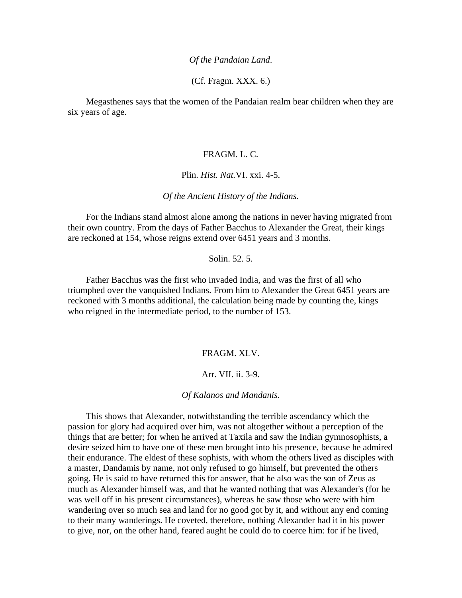#### *Of the Pandaian Land*.

(Cf. Fragm. XXX. 6.)

 Megasthenes says that the women of the Pandaian realm bear children when they are six years of age.

## FRAGM. L. C.

### Plin. *Hist. Nat.*VI. xxi. 4-5.

#### *Of the Ancient History of the Indians*.

 For the Indians stand almost alone among the nations in never having migrated from their own country. From the days of Father Bacchus to Alexander the Great, their kings are reckoned at 154, whose reigns extend over 6451 years and 3 months.

## Solin. 52. 5.

 Father Bacchus was the first who invaded India, and was the first of all who triumphed over the vanquished Indians. From him to Alexander the Great 6451 years are reckoned with 3 months additional, the calculation being made by counting the, kings who reigned in the intermediate period, to the number of 153.

### FRAGM. XLV.

## Arr. VII. ii. 3-9.

#### *Of Kalanos and Mandanis.*

 This shows that Alexander, notwithstanding the terrible ascendancy which the passion for glory had acquired over him, was not altogether without a perception of the things that are better; for when he arrived at Taxila and saw the Indian gymnosophists, a desire seized him to have one of these men brought into his presence, because he admired their endurance. The eldest of these sophists, with whom the others lived as disciples with a master, Dandamis by name, not only refused to go himself, but prevented the others going. He is said to have returned this for answer, that he also was the son of Zeus as much as Alexander himself was, and that he wanted nothing that was Alexander's (for he was well off in his present circumstances), whereas he saw those who were with him wandering over so much sea and land for no good got by it, and without any end coming to their many wanderings. He coveted, therefore, nothing Alexander had it in his power to give, nor, on the other hand, feared aught he could do to coerce him: for if he lived,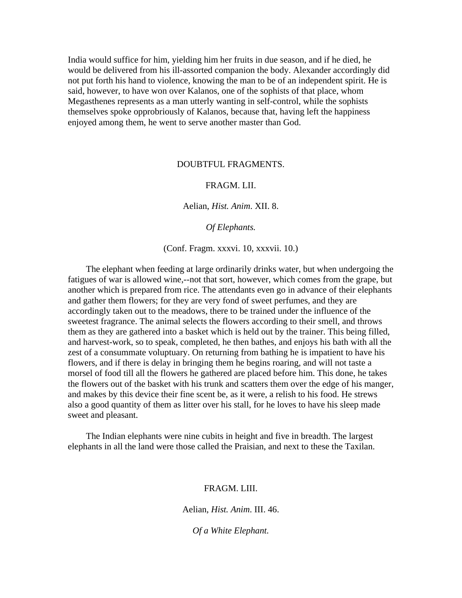India would suffice for him, yielding him her fruits in due season, and if he died, he would be delivered from his ill-assorted companion the body. Alexander accordingly did not put forth his hand to violence, knowing the man to be of an independent spirit. He is said, however, to have won over Kalanos, one of the sophists of that place, whom Megasthenes represents as a man utterly wanting in self-control, while the sophists themselves spoke opprobriously of Kalanos, because that, having left the happiness enjoyed among them, he went to serve another master than God.

## DOUBTFUL FRAGMENTS.

#### FRAGM. LII.

Aelian, *Hist. Anim*. XII. 8.

*Of Elephants.* 

(Conf. Fragm. xxxvi. 10, xxxvii. 10.)

 The elephant when feeding at large ordinarily drinks water, but when undergoing the fatigues of war is allowed wine,--not that sort, however, which comes from the grape, but another which is prepared from rice. The attendants even go in advance of their elephants and gather them flowers; for they are very fond of sweet perfumes, and they are accordingly taken out to the meadows, there to be trained under the influence of the sweetest fragrance. The animal selects the flowers according to their smell, and throws them as they are gathered into a basket which is held out by the trainer. This being filled, and harvest-work, so to speak, completed, he then bathes, and enjoys his bath with all the zest of a consummate voluptuary. On returning from bathing he is impatient to have his flowers, and if there is delay in bringing them he begins roaring, and will not taste a morsel of food till all the flowers he gathered are placed before him. This done, he takes the flowers out of the basket with his trunk and scatters them over the edge of his manger, and makes by this device their fine scent be, as it were, a relish to his food. He strews also a good quantity of them as litter over his stall, for he loves to have his sleep made sweet and pleasant.

 The Indian elephants were nine cubits in height and five in breadth. The largest elephants in all the land were those called the Praisian, and next to these the Taxilan.

#### FRAGM. LIII.

Aelian, *Hist. Anim*. III. 46.

*Of a White Elephant.*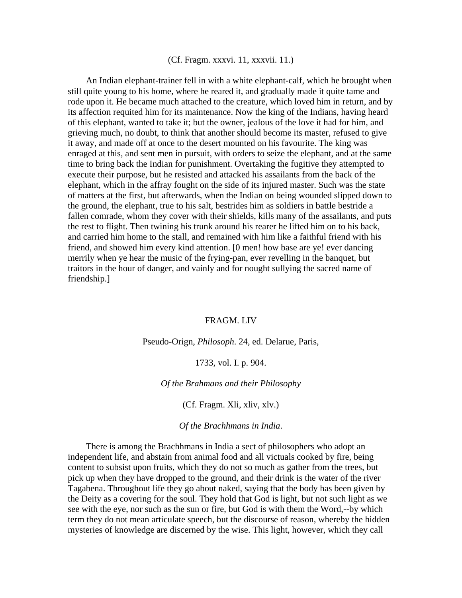## (Cf. Fragm. xxxvi. 11, xxxvii. 11.)

 An Indian elephant-trainer fell in with a white elephant-calf, which he brought when still quite young to his home, where he reared it, and gradually made it quite tame and rode upon it. He became much attached to the creature, which loved him in return, and by its affection requited him for its maintenance. Now the king of the Indians, having heard of this elephant, wanted to take it; but the owner, jealous of the love it had for him, and grieving much, no doubt, to think that another should become its master, refused to give it away, and made off at once to the desert mounted on his favourite. The king was enraged at this, and sent men in pursuit, with orders to seize the elephant, and at the same time to bring back the Indian for punishment. Overtaking the fugitive they attempted to execute their purpose, but he resisted and attacked his assailants from the back of the elephant, which in the affray fought on the side of its injured master. Such was the state of matters at the first, but afterwards, when the Indian on being wounded slipped down to the ground, the elephant, true to his salt, bestrides him as soldiers in battle bestride a fallen comrade, whom they cover with their shields, kills many of the assailants, and puts the rest to flight. Then twining his trunk around his rearer he lifted him on to his back, and carried him home to the stall, and remained with him like a faithful friend with his friend, and showed him every kind attention. [0 men! how base are ye! ever dancing merrily when ye hear the music of the frying-pan, ever revelling in the banquet, but traitors in the hour of danger, and vainly and for nought sullying the sacred name of friendship.]

#### FRAGM. LIV

Pseudo-Orign, *Philosoph*. 24, ed. Delarue, Paris,

1733, vol. I. p. 904.

*Of the Brahmans and their Philosophy* 

(Cf. Fragm. Xli, xliv, xlv.)

*Of the Brachhmans in India*.

 There is among the Brachhmans in India a sect of philosophers who adopt an independent life, and abstain from animal food and all victuals cooked by fire, being content to subsist upon fruits, which they do not so much as gather from the trees, but pick up when they have dropped to the ground, and their drink is the water of the river Tagabena. Throughout life they go about naked, saying that the body has been given by the Deity as a covering for the soul. They hold that God is light, but not such light as we see with the eye, nor such as the sun or fire, but God is with them the Word,--by which term they do not mean articulate speech, but the discourse of reason, whereby the hidden mysteries of knowledge are discerned by the wise. This light, however, which they call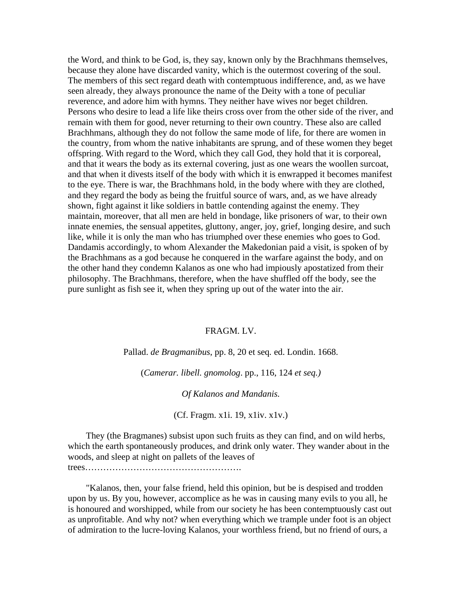the Word, and think to be God, is, they say, known only by the Brachhmans themselves, because they alone have discarded vanity, which is the outermost covering of the soul. The members of this sect regard death with contemptuous indifference, and, as we have seen already, they always pronounce the name of the Deity with a tone of peculiar reverence, and adore him with hymns. They neither have wives nor beget children. Persons who desire to lead a life like theirs cross over from the other side of the river, and remain with them for good, never returning to their own country. These also are called Brachhmans, although they do not follow the same mode of life, for there are women in the country, from whom the native inhabitants are sprung, and of these women they beget offspring. With regard to the Word, which they call God, they hold that it is corporeal, and that it wears the body as its external covering, just as one wears the woollen surcoat, and that when it divests itself of the body with which it is enwrapped it becomes manifest to the eye. There is war, the Brachhmans hold, in the body where with they are clothed, and they regard the body as being the fruitful source of wars, and, as we have already shown, fight against it like soldiers in battle contending against the enemy. They maintain, moreover, that all men are held in bondage, like prisoners of war, to their own innate enemies, the sensual appetites, gluttony, anger, joy, grief, longing desire, and such like, while it is only the man who has triumphed over these enemies who goes to God. Dandamis accordingly, to whom Alexander the Makedonian paid a visit, is spoken of by the Brachhmans as a god because he conquered in the warfare against the body, and on the other hand they condemn Kalanos as one who had impiously apostatized from their philosophy. The Brachhmans, therefore, when the have shuffled off the body, see the pure sunlight as fish see it, when they spring up out of the water into the air.

#### FRAGM. LV.

Pallad. *de Bragmanibus*, pp. 8, 20 et seq*.* ed. Londin. 1668.

(*Camerar. libell. gnomolog*. pp., 116, 124 *et seq.)*

*Of Kalanos and Mandanis.*

(Cf. Fragm. x1i. 19, x1iv. x1v.)

 They (the Bragmanes) subsist upon such fruits as they can find, and on wild herbs, which the earth spontaneously produces, and drink only water. They wander about in the woods, and sleep at night on pallets of the leaves of

trees…………………………………………….

 "Kalanos, then, your false friend, held this opinion, but be is despised and trodden upon by us. By you, however, accomplice as he was in causing many evils to you all, he is honoured and worshipped, while from our society he has been contemptuously cast out as unprofitable. And why not? when everything which we trample under foot is an object of admiration to the lucre-loving Kalanos, your worthless friend, but no friend of ours, a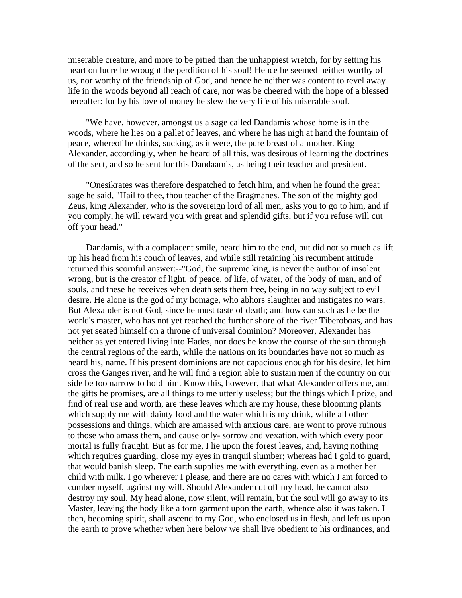miserable creature, and more to be pitied than the unhappiest wretch, for by setting his heart on lucre he wrought the perdition of his soul! Hence he seemed neither worthy of us, nor worthy of the friendship of God, and hence he neither was content to revel away life in the woods beyond all reach of care, nor was be cheered with the hope of a blessed hereafter: for by his love of money he slew the very life of his miserable soul.

 "We have, however, amongst us a sage called Dandamis whose home is in the woods, where he lies on a pallet of leaves, and where he has nigh at hand the fountain of peace, whereof he drinks, sucking, as it were, the pure breast of a mother. King Alexander, accordingly, when he heard of all this, was desirous of learning the doctrines of the sect, and so he sent for this Dandaamis, as being their teacher and president.

 "Onesikrates was therefore despatched to fetch him, and when he found the great sage he said, "Hail to thee, thou teacher of the Bragmanes. The son of the mighty god Zeus, king Alexander, who is the sovereign lord of all men, asks you to go to him, and if you comply, he will reward you with great and splendid gifts, but if you refuse will cut off your head."

 Dandamis, with a complacent smile, heard him to the end, but did not so much as lift up his head from his couch of leaves, and while still retaining his recumbent attitude returned this scornful answer:--"God, the supreme king, is never the author of insolent wrong, but is the creator of light, of peace, of life, of water, of the body of man, and of souls, and these he receives when death sets them free, being in no way subject to evil desire. He alone is the god of my homage, who abhors slaughter and instigates no wars. But Alexander is not God, since he must taste of death; and how can such as he be the world's master, who has not yet reached the further shore of the river Tiberoboas, and has not yet seated himself on a throne of universal dominion? Moreover, Alexander has neither as yet entered living into Hades, nor does he know the course of the sun through the central regions of the earth, while the nations on its boundaries have not so much as heard his, name. If his present dominions are not capacious enough for his desire, let him cross the Ganges river, and he will find a region able to sustain men if the country on our side be too narrow to hold him. Know this, however, that what Alexander offers me, and the gifts he promises, are all things to me utterly useless; but the things which I prize, and find of real use and worth, are these leaves which are my house, these blooming plants which supply me with dainty food and the water which is my drink, while all other possessions and things, which are amassed with anxious care, are wont to prove ruinous to those who amass them, and cause only- sorrow and vexation, with which every poor mortal is fully fraught. But as for me, I lie upon the forest leaves, and, having nothing which requires guarding, close my eyes in tranquil slumber; whereas had I gold to guard, that would banish sleep. The earth supplies me with everything, even as a mother her child with milk. I go wherever I please, and there are no cares with which I am forced to cumber myself, against my will. Should Alexander cut off my head, he cannot also destroy my soul. My head alone, now silent, will remain, but the soul will go away to its Master, leaving the body like a torn garment upon the earth, whence also it was taken. I then, becoming spirit, shall ascend to my God, who enclosed us in flesh, and left us upon the earth to prove whether when here below we shall live obedient to his ordinances, and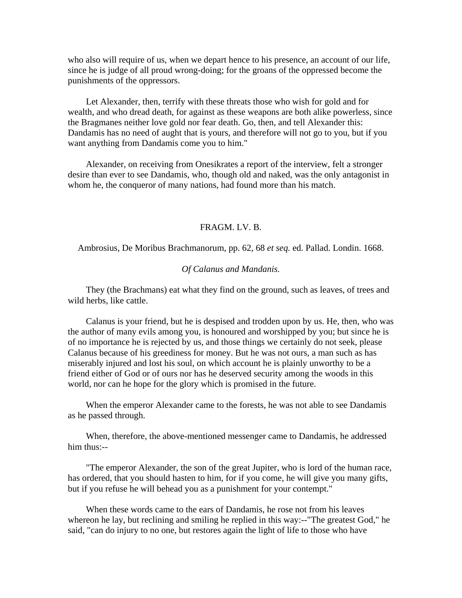who also will require of us, when we depart hence to his presence, an account of our life, since he is judge of all proud wrong-doing; for the groans of the oppressed become the punishments of the oppressors.

 Let Alexander, then, terrify with these threats those who wish for gold and for wealth, and who dread death, for against as these weapons are both alike powerless, since the Bragmanes neither love gold nor fear death. Go, then, and tell Alexander this: Dandamis has no need of aught that is yours, and therefore will not go to you, but if you want anything from Dandamis come you to him."

 Alexander, on receiving from Onesikrates a report of the interview, felt a stronger desire than ever to see Dandamis, who, though old and naked, was the only antagonist in whom he, the conqueror of many nations, had found more than his match.

#### FRAGM. LV. B.

Ambrosius, De Moribus Brachmanorum, pp. 62, 68 *et seq.* ed. Pallad. Londin. 1668.

#### *Of Calanus and Mandanis.*

 They (the Brachmans) eat what they find on the ground, such as leaves, of trees and wild herbs, like cattle.

 Calanus is your friend, but he is despised and trodden upon by us. He, then, who was the author of many evils among you, is honoured and worshipped by you; but since he is of no importance he is rejected by us, and those things we certainly do not seek, please Calanus because of his greediness for money. But he was not ours, a man such as has miserably injured and lost his soul, on which account he is plainly unworthy to be a friend either of God or of ours nor has he deserved security among the woods in this world, nor can he hope for the glory which is promised in the future.

 When the emperor Alexander came to the forests, he was not able to see Dandamis as he passed through.

 When, therefore, the above-mentioned messenger came to Dandamis, he addressed him thus:--

 "The emperor Alexander, the son of the great Jupiter, who is lord of the human race, has ordered, that you should hasten to him, for if you come, he will give you many gifts, but if you refuse he will behead you as a punishment for your contempt."

 When these words came to the ears of Dandamis, he rose not from his leaves whereon he lay, but reclining and smiling he replied in this way:--"The greatest God," he said, "can do injury to no one, but restores again the light of life to those who have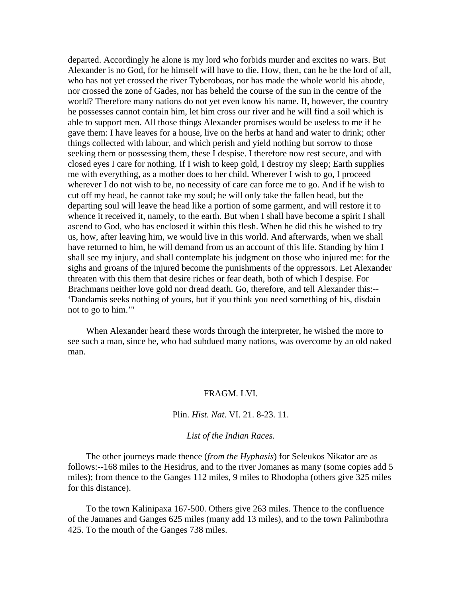departed. Accordingly he alone is my lord who forbids murder and excites no wars. But Alexander is no God, for he himself will have to die. How, then, can he be the lord of all, who has not yet crossed the river Tyberoboas, nor has made the whole world his abode, nor crossed the zone of Gades, nor has beheld the course of the sun in the centre of the world? Therefore many nations do not yet even know his name. If, however, the country he possesses cannot contain him, let him cross our river and he will find a soil which is able to support men. All those things Alexander promises would be useless to me if he gave them: I have leaves for a house, live on the herbs at hand and water to drink; other things collected with labour, and which perish and yield nothing but sorrow to those seeking them or possessing them, these I despise. I therefore now rest secure, and with closed eyes I care for nothing. If I wish to keep gold, I destroy my sleep; Earth supplies me with everything, as a mother does to her child. Wherever I wish to go, I proceed wherever I do not wish to be, no necessity of care can force me to go. And if he wish to cut off my head, he cannot take my soul; he will only take the fallen head, but the departing soul will leave the head like a portion of some garment, and will restore it to whence it received it, namely, to the earth. But when I shall have become a spirit I shall ascend to God, who has enclosed it within this flesh. When he did this he wished to try us, how, after leaving him, we would live in this world. And afterwards, when we shall have returned to him, he will demand from us an account of this life. Standing by him I shall see my injury, and shall contemplate his judgment on those who injured me: for the sighs and groans of the injured become the punishments of the oppressors. Let Alexander threaten with this them that desire riches or fear death, both of which I despise. For Brachmans neither love gold nor dread death. Go, therefore, and tell Alexander this:-- 'Dandamis seeks nothing of yours, but if you think you need something of his, disdain not to go to him.'"

 When Alexander heard these words through the interpreter, he wished the more to see such a man, since he, who had subdued many nations, was overcome by an old naked man.

#### FRAGM. LVI.

## Plin. *Hist. Nat*. VI. 21. 8-23. 11.

## *List of the Indian Races.*

 The other journeys made thence (*from the Hyphasis*) for Seleukos Nikator are as follows:--168 miles to the Hesidrus, and to the river Jomanes as many (some copies add 5 miles); from thence to the Ganges 112 miles, 9 miles to Rhodopha (others give 325 miles for this distance).

 To the town Kalinipaxa 167-500. Others give 263 miles. Thence to the confluence of the Jamanes and Ganges 625 miles (many add 13 miles), and to the town Palimbothra 425. To the mouth of the Ganges 738 miles.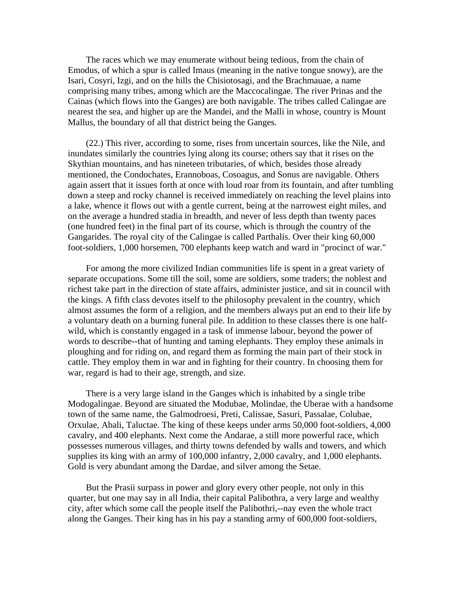The races which we may enumerate without being tedious, from the chain of Emodus, of which a spur is called Imaus (meaning in the native tongue snowy), are the Isari, Cosyri, Izgi, and on the hills the Chisiotosagi, and the Brachmauae, a name comprising many tribes, among which are the Maccocalingae. The river Prinas and the Cainas (which flows into the Ganges) are both navigable. The tribes called Calingae are nearest the sea, and higher up are the Mandei, and the Malli in whose, country is Mount Mallus, the boundary of all that district being the Ganges*.*

 (22.) This river, according to some, rises from uncertain sources, like the Nile, and inundates similarly the countries lying along its course; others say that it rises on the Skythian mountains, and has nineteen tributaries, of which, besides those already mentioned, the Condochates, Erannoboas, Cosoagus, and Sonus are navigable. Others again assert that it issues forth at once with loud roar from its fountain, and after tumbling down a steep and rocky channel is received immediately on reaching the level plains into a lake, whence it flows out with a gentle current, being at the narrowest eight miles, and on the average a hundred stadia in breadth, and never of less depth than twenty paces (one hundred feet) in the final part of its course, which is through the country of the Gangarides. The royal city of the Calingae is called Parthalis. Over their king 60,000 foot-soldiers, 1,000 horsemen, 700 elephants keep watch and ward in "procinct of war."

 For among the more civilized Indian communities life is spent in a great variety of separate occupations. Some till the soil, some are soldiers, some traders; the noblest and richest take part in the direction of state affairs, administer justice, and sit in council with the kings. A fifth class devotes itself to the philosophy prevalent in the country, which almost assumes the form of a religion, and the members always put an end to their life by a voluntary death on a burning funeral pile. In addition to these classes there is one halfwild, which is constantly engaged in a task of immense labour, beyond the power of words to describe--that of hunting and taming elephants. They employ these animals in ploughing and for riding on, and regard them as forming the main part of their stock in cattle. They employ them in war and in fighting for their country. In choosing them for war, regard is had to their age, strength, and size.

 There is a very large island in the Ganges which is inhabited by a single tribe Modogalingae. Beyond are situated the Modubae, Molindae, the Uberae with a handsome town of the same name, the Galmodroesi, Preti, Calissae, Sasuri, Passalae, Colubae, Orxulae, Abali, Taluctae. The king of these keeps under arms 50,000 foot-soldiers, 4,000 cavalry, and 400 elephants. Next come the Andarae, a still more powerful race, which possesses numerous villages, and thirty towns defended by walls and towers, and which supplies its king with an army of 100,000 infantry, 2,000 cavalry, and 1,000 elephants. Gold is very abundant among the Dardae, and silver among the Setae.

 But the Prasii surpass in power and glory every other people, not only in this quarter, but one may say in all India, their capital Palibothra, a very large and wealthy city, after which some call the people itself the Palibothri,--nay even the whole tract along the Ganges. Their king has in his pay a standing army of 600,000 foot-soldiers,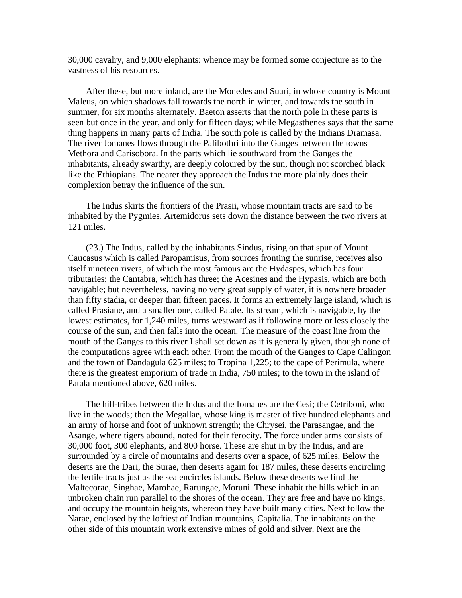30,000 cavalry, and 9,000 elephants: whence may be formed some conjecture as to the vastness of his resources.

 After these, but more inland, are the Monedes and Suari, in whose country is Mount Maleus, on which shadows fall towards the north in winter, and towards the south in summer, for six months alternately. Baeton asserts that the north pole in these parts is seen but once in the year, and only for fifteen days; while Megasthenes says that the same thing happens in many parts of India. The south pole is called by the Indians Dramasa. The river Jomanes flows through the Palibothri into the Ganges between the towns Methora and Carisobora. In the parts which lie southward from the Ganges the inhabitants, already swarthy, are deeply coloured by the sun, though not scorched black like the Ethiopians. The nearer they approach the Indus the more plainly does their complexion betray the influence of the sun.

 The Indus skirts the frontiers of the Prasii, whose mountain tracts are said to be inhabited by the Pygmies. Artemidorus sets down the distance between the two rivers at 121 miles.

 (23.) The Indus, called by the inhabitants Sindus, rising on that spur of Mount Caucasus which is called Paropamisus, from sources fronting the sunrise, receives also itself nineteen rivers, of which the most famous are the Hydaspes, which has four tributaries; the Cantabra, which has three; the Acesines and the Hypasis, which are both navigable; but nevertheless, having no very great supply of water, it is nowhere broader than fifty stadia, or deeper than fifteen paces. It forms an extremely large island, which is called Prasiane, and a smaller one, called Patale. Its stream, which is navigable, by the lowest estimates, for 1,240 miles, turns westward as if following more or less closely the course of the sun, and then falls into the ocean. The measure of the coast line from the mouth of the Ganges to this river I shall set down as it is generally given, though none of the computations agree with each other. From the mouth of the Ganges to Cape Calingon and the town of Dandagula 625 miles; to Tropina 1,225; to the cape of Perimula, where there is the greatest emporium of trade in India, 750 miles; to the town in the island of Patala mentioned above, 620 miles.

 The hill-tribes between the Indus and the Iomanes are the Cesi; the Cetriboni, who live in the woods; then the Megallae, whose king is master of five hundred elephants and an army of horse and foot of unknown strength; the Chrysei, the Parasangae, and the Asange, where tigers abound, noted for their ferocity. The force under arms consists of 30,000 foot, 300 elephants, and 800 horse. These are shut in by the Indus, and are surrounded by a circle of mountains and deserts over a space, of 625 miles. Below the deserts are the Dari, the Surae, then deserts again for 187 miles, these deserts encircling the fertile tracts just as the sea encircles islands. Below these deserts we find the Maltecorae, Singhae, Marohae, Rarungae, Moruni. These inhabit the hills which in an unbroken chain run parallel to the shores of the ocean. They are free and have no kings, and occupy the mountain heights, whereon they have built many cities. Next follow the Narae, enclosed by the loftiest of Indian mountains, Capitalia. The inhabitants on the other side of this mountain work extensive mines of gold and silver. Next are the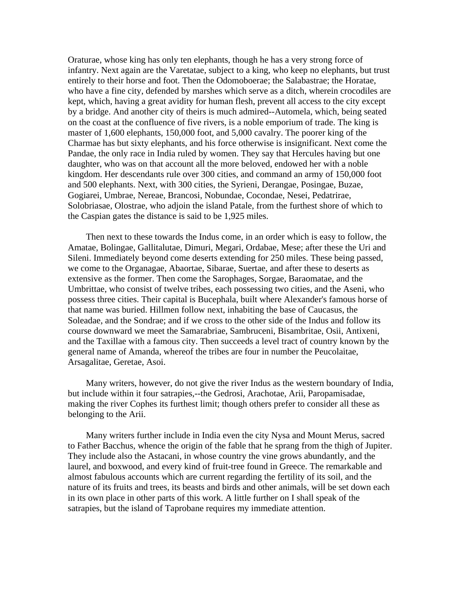Oraturae, whose king has only ten elephants, though he has a very strong force of infantry. Next again are the Varetatae, subject to a king, who keep no elephants, but trust entirely to their horse and foot. Then the Odomoboerae; the Salabastrae; the Horatae, who have a fine city, defended by marshes which serve as a ditch, wherein crocodiles are kept, which, having a great avidity for human flesh, prevent all access to the city except by a bridge. And another city of theirs is much admired--Automela, which, being seated on the coast at the confluence of five rivers, is a noble emporium of trade. The king is master of 1,600 elephants, 150,000 foot, and 5,000 cavalry. The poorer king of the Charmae has but sixty elephants, and his force otherwise is insignificant. Next come the Pandae, the only race in India ruled by women. They say that Hercules having but one daughter, who was on that account all the more beloved, endowed her with a noble kingdom. Her descendants rule over 300 cities, and command an army of 150,000 foot and 500 elephants. Next, with 300 cities, the Syrieni, Derangae, Posingae, Buzae, Gogiarei, Umbrae, Nereae, Brancosi, Nobundae, Cocondae, Nesei, Pedatrirae, Solobriasae, Olostrae, who adjoin the island Patale, from the furthest shore of which to the Caspian gates the distance is said to be 1,925 miles.

 Then next to these towards the Indus come, in an order which is easy to follow, the Amatae, Bolingae, Gallitalutae, Dimuri, Megari, Ordabae, Mese; after these the Uri and Sileni. Immediately beyond come deserts extending for 250 miles. These being passed, we come to the Organagae, Abaortae, Sibarae, Suertae, and after these to deserts as extensive as the former. Then come the Sarophages, Sorgae, Baraomatae, and the Umbrittae, who consist of twelve tribes, each possessing two cities, and the Aseni, who possess three cities. Their capital is Bucephala, built where Alexander's famous horse of that name was buried. Hillmen follow next, inhabiting the base of Caucasus, the Soleadae, and the Sondrae; and if we cross to the other side of the Indus and follow its course downward we meet the Samarabriae, Sambruceni, Bisambritae, Osii, Antixeni, and the Taxillae with a famous city. Then succeeds a level tract of country known by the general name of Amanda, whereof the tribes are four in number the Peucolaitae, Arsagalitae, Geretae, Asoi.

 Many writers, however, do not give the river Indus as the western boundary of India, but include within it four satrapies,--the Gedrosi, Arachotae, Arii, Paropamisadae, making the river Cophes its furthest limit; though others prefer to consider all these as belonging to the Arii.

 Many writers further include in India even the city Nysa and Mount Merus, sacred to Father Bacchus, whence the origin of the fable that he sprang from the thigh of Jupiter. They include also the Astacani, in whose country the vine grows abundantly, and the laurel, and boxwood, and every kind of fruit-tree found in Greece. The remarkable and almost fabulous accounts which are current regarding the fertility of its soil, and the nature of its fruits and trees, its beasts and birds and other animals, will be set down each in its own place in other parts of this work. A little further on I shall speak of the satrapies, but the island of Taprobane requires my immediate attention.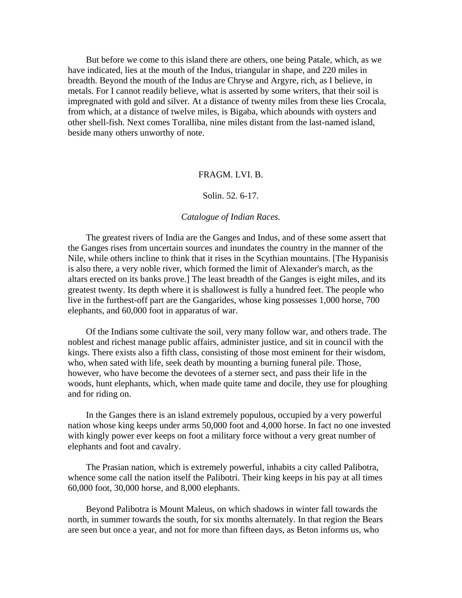But before we come to this island there are others, one being Patale, which, as we have indicated, lies at the mouth of the Indus, triangular in shape, and 220 miles in breadth. Beyond the mouth of the Indus are Chryse and Argyre, rich, as I believe, in metals. For I cannot readily believe, what is asserted by some writers, that their soil is impregnated with gold and silver. At a distance of twenty miles from these lies Crocala, from which, at a distance of twelve miles, is Bigaba, which abounds with oysters and other shell-fish. Next comes Toralliba, nine miles distant from the last-named island, beside many others unworthy of note.

#### FRAGM. LVI. B.

#### Solin. 52. 6-17.

#### *Catalogue of Indian Races.*

 The greatest rivers of India are the Ganges and Indus, and of these some assert that the Ganges rises from uncertain sources and inundates the country in the manner of the Nile, while others incline to think that it rises in the Scythian mountains. [The Hypanisis is also there, a very noble river, which formed the limit of Alexander's march, as the altars erected on its banks prove.] The least breadth of the Ganges is eight miles, and its greatest twenty. Its depth where it is shallowest is fully a hundred feet. The people who live in the furthest-off part are the Gangarides, whose king possesses 1,000 horse, 700 elephants, and 60,000 foot in apparatus of war.

 Of the Indians some cultivate the soil, very many follow war, and others trade. The noblest and richest manage public affairs, administer justice, and sit in council with the kings. There exists also a fifth class, consisting of those most eminent for their wisdom, who, when sated with life, seek death by mounting a burning funeral pile. Those, however, who have become the devotees of a sterner sect, and pass their life in the woods, hunt elephants, which, when made quite tame and docile, they use for ploughing and for riding on.

 In the Ganges there is an island extremely populous, occupied by a very powerful nation whose king keeps under arms 50,000 foot and 4,000 horse. In fact no one invested with kingly power ever keeps on foot a military force without a very great number of elephants and foot and cavalry.

 The Prasian nation, which is extremely powerful, inhabits a city called Palibotra, whence some call the nation itself the Palibotri. Their king keeps in his pay at all times 60,000 foot, 30,000 horse, and 8,000 elephants.

 Beyond Palibotra is Mount Maleus, on which shadows in winter fall towards the north, in summer towards the south, for six months alternately. In that region the Bears are seen but once a year, and not for more than fifteen days, as Beton informs us, who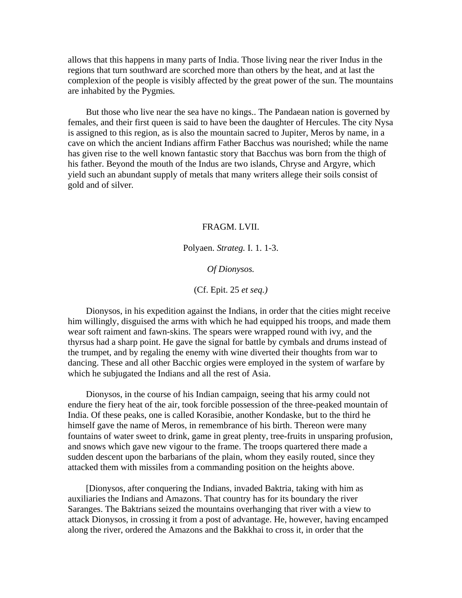allows that this happens in many parts of India. Those living near the river Indus in the regions that turn southward are scorched more than others by the heat, and at last the complexion of the people is visibly affected by the great power of the sun. The mountains are inhabited by the Pygmies*.*

 But those who live near the sea have no kings.. The Pandaean nation is governed by females, and their first queen is said to have been the daughter of Hercules. The city Nysa is assigned to this region, as is also the mountain sacred to Jupiter, Meros by name, in a cave on which the ancient Indians affirm Father Bacchus was nourished; while the name has given rise to the well known fantastic story that Bacchus was born from the thigh of his father. Beyond the mouth of the Indus are two islands, Chryse and Argyre, which yield such an abundant supply of metals that many writers allege their soils consist of gold and of silver*.*

#### FRAGM. LVII.

Polyaen. *Strateg.* I. 1. 1-3.

## *Of Dionysos.*

(Cf. Epit. 25 *et seq.)*

 Dionysos, in his expedition against the Indians, in order that the cities might receive him willingly, disguised the arms with which he had equipped his troops, and made them wear soft raiment and fawn-skins. The spears were wrapped round with ivy, and the thyrsus had a sharp point. He gave the signal for battle by cymbals and drums instead of the trumpet, and by regaling the enemy with wine diverted their thoughts from war to dancing. These and all other Bacchic orgies were employed in the system of warfare by which he subjugated the Indians and all the rest of Asia.

 Dionysos, in the course of his Indian campaign, seeing that his army could not endure the fiery heat of the air, took forcible possession of the three-peaked mountain of India. Of these peaks, one is called Korasibie, another Kondaske, but to the third he himself gave the name of Meros, in remembrance of his birth. Thereon were many fountains of water sweet to drink, game in great plenty, tree-fruits in unsparing profusion, and snows which gave new vigour to the frame. The troops quartered there made a sudden descent upon the barbarians of the plain, whom they easily routed, since they attacked them with missiles from a commanding position on the heights above.

 [Dionysos, after conquering the Indians, invaded Baktria, taking with him as auxiliaries the Indians and Amazons. That country has for its boundary the river Saranges. The Baktrians seized the mountains overhanging that river with a view to attack Dionysos, in crossing it from a post of advantage. He, however, having encamped along the river, ordered the Amazons and the Bakkhai to cross it, in order that the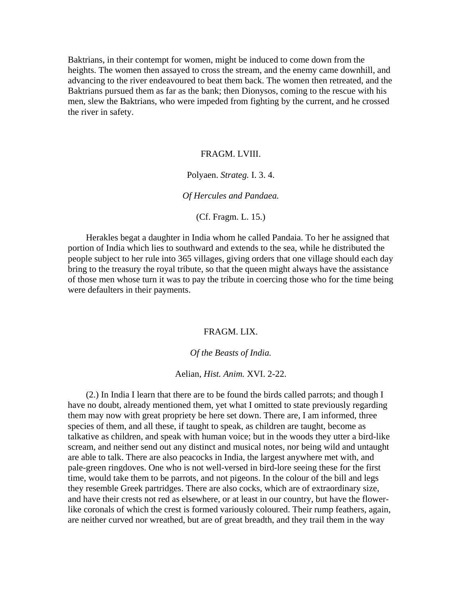Baktrians, in their contempt for women, might be induced to come down from the heights. The women then assayed to cross the stream, and the enemy came downhill, and advancing to the river endeavoured to beat them back. The women then retreated, and the Baktrians pursued them as far as the bank; then Dionysos, coming to the rescue with his men, slew the Baktrians, who were impeded from fighting by the current, and he crossed the river in safety.

### FRAGM. LVIII.

### Polyaen. *Strateg.* I. 3. 4.

#### *Of Hercules and Pandaea.*

(Cf. Fragm. L. 15.)

 Herakles begat a daughter in India whom he called Pandaia. To her he assigned that portion of India which lies to southward and extends to the sea, while he distributed the people subject to her rule into 365 villages, giving orders that one village should each day bring to the treasury the royal tribute, so that the queen might always have the assistance of those men whose turn it was to pay the tribute in coercing those who for the time being were defaulters in their payments.

### FRAGM. LIX.

## *Of the Beasts of India.*

### Aelian, *Hist. Anim.* XVI. 2-22.

 (2.) In India I learn that there are to be found the birds called parrots; and though I have no doubt, already mentioned them, yet what I omitted to state previously regarding them may now with great propriety be here set down. There are, I am informed, three species of them, and all these, if taught to speak, as children are taught, become as talkative as children, and speak with human voice; but in the woods they utter a bird-like scream, and neither send out any distinct and musical notes, nor being wild and untaught are able to talk. There are also peacocks in India, the largest anywhere met with, and pale-green ringdoves. One who is not well-versed in bird-lore seeing these for the first time, would take them to be parrots, and not pigeons. In the colour of the bill and legs they resemble Greek partridges. There are also cocks, which are of extraordinary size, and have their crests not red as elsewhere, or at least in our country, but have the flowerlike coronals of which the crest is formed variously coloured. Their rump feathers, again, are neither curved nor wreathed, but are of great breadth, and they trail them in the way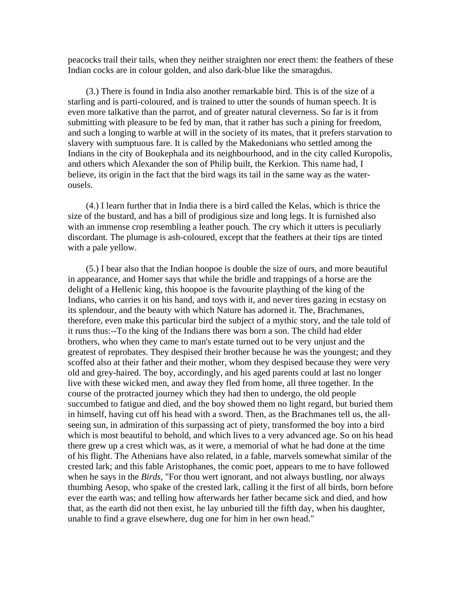peacocks trail their tails, when they neither straighten nor erect them: the feathers of these Indian cocks are in colour golden, and also dark-blue like the smaragdus.

 (3.) There is found in India also another remarkable bird. This is of the size of a starling and is parti-coloured, and is trained to utter the sounds of human speech. It is even more talkative than the parrot, and of greater natural cleverness. So far is it from submitting with pleasure to be fed by man, that it rather has such a pining for freedom, and such a longing to warble at will in the society of its mates, that it prefers starvation to slavery with sumptuous fare. It is called by the Makedonians who settled among the Indians in the city of Boukephala and its neighbourhood, and in the city called Kuropolis, and others which Alexander the son of Philip built, the Kerkion. This name had, I believe, its origin in the fact that the bird wags its tail in the same way as the waterousels.

 (4.) I learn further that in India there is a bird called the Kelas*,* which is thrice the size of the bustard, and has a bill of prodigious size and long legs. It is furnished also with an immense crop resembling a leather pouch. The cry which it utters is peculiarly discordant. The plumage is ash-coloured, except that the feathers at their tips are tinted with a pale yellow.

 (5.) I bear also that the Indian hoopoe is double the size of ours, and more beautiful in appearance, and Homer says that while the bridle and trappings of a horse are the delight of a Hellenic king, this hoopoe is the favourite plaything of the king of the Indians, who carries it on his hand, and toys with it, and never tires gazing in ecstasy on its splendour, and the beauty with which Nature has adorned it. The, Brachmanes, therefore, even make this particular bird the subject of a mythic story, and the tale told of it runs thus:--To the king of the Indians there was born a son. The child had elder brothers, who when they came to man's estate turned out to be very unjust and the greatest of reprobates. They despised their brother because he was the youngest; and they scoffed also at their father and their mother, whom they despised because they were very old and grey-haired. The boy, accordingly, and his aged parents could at last no longer live with these wicked men, and away they fled from home, all three together. In the course of the protracted journey which they had then to undergo, the old people succumbed to fatigue and died, and the boy showed them no light regard, but buried them in himself, having cut off his head with a sword. Then, as the Brachmanes tell us, the allseeing sun, in admiration of this surpassing act of piety, transformed the boy into a bird which is most beautiful to behold, and which lives to a very advanced age. So on his head there grew up a crest which was, as it were, a memorial of what he had done at the time of his flight. The Athenians have also related, in a fable, marvels somewhat similar of the crested lark; and this fable Aristophanes, the comic poet, appears to me to have followed when he says in the *Birds,* "For thou wert ignorant, and not always bustling, nor always thumbing Aesop, who spake of the crested lark, calling it the first of all birds, born before ever the earth was; and telling how afterwards her father became sick and died, and how that, as the earth did not then exist, he lay unburied till the fifth day, when his daughter, unable to find a grave elsewhere, dug one for him in her own head."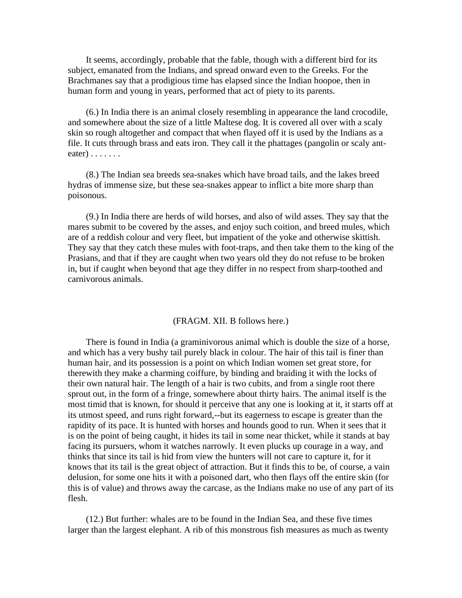It seems, accordingly, probable that the fable, though with a different bird for its subject, emanated from the Indians, and spread onward even to the Greeks. For the Brachmanes say that a prodigious time has elapsed since the Indian hoopoe, then in human form and young in years, performed that act of piety to its parents.

 (6.) In India there is an animal closely resembling in appearance the land crocodile, and somewhere about the size of a little Maltese dog. It is covered all over with a scaly skin so rough altogether and compact that when flayed off it is used by the Indians as a file. It cuts through brass and eats iron. They call it the phattages (pangolin or scaly ant $eater) \ldots \ldots$ 

 (8.) The Indian sea breeds sea-snakes which have broad tails, and the lakes breed hydras of immense size, but these sea-snakes appear to inflict a bite more sharp than poisonous.

 (9.) In India there are herds of wild horses, and also of wild asses. They say that the mares submit to be covered by the asses, and enjoy such coition, and breed mules, which are of a reddish colour and very fleet, but impatient of the yoke and otherwise skittish. They say that they catch these mules with foot-traps, and then take them to the king of the Prasians, and that if they are caught when two years old they do not refuse to be broken in, but if caught when beyond that age they differ in no respect from sharp-toothed and carnivorous animals.

#### (FRAGM. XII. B follows here.)

 There is found in India (a graminivorous animal which is double the size of a horse, and which has a very bushy tail purely black in colour. The hair of this tail is finer than human hair, and its possession is a point on which Indian women set great store, for therewith they make a charming coiffure, by binding and braiding it with the locks of their own natural hair. The length of a hair is two cubits, and from a single root there sprout out, in the form of a fringe, somewhere about thirty hairs. The animal itself is the most timid that is known, for should it perceive that any one is looking at it, it starts off at its utmost speed, and runs right forward,--but its eagerness to escape is greater than the rapidity of its pace. It is hunted with horses and hounds good to run. When it sees that it is on the point of being caught, it hides its tail in some near thicket, while it stands at bay facing its pursuers, whom it watches narrowly. It even plucks up courage in a way, and thinks that since its tail is hid from view the hunters will not care to capture it, for it knows that its tail is the great object of attraction. But it finds this to be, of course, a vain delusion, for some one hits it with a poisoned dart, who then flays off the entire skin (for this is of value) and throws away the carcase, as the Indians make no use of any part of its flesh.

 (12.) But further: whales are to be found in the Indian Sea, and these five times larger than the largest elephant. A rib of this monstrous fish measures as much as twenty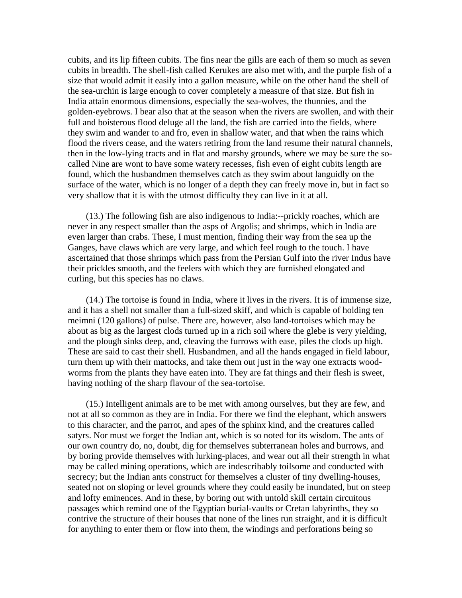cubits, and its lip fifteen cubits. The fins near the gills are each of them so much as seven cubits in breadth. The shell-fish called Kerukes are also met with, and the purple fish of a size that would admit it easily into a gallon measure, while on the other hand the shell of the sea-urchin is large enough to cover completely a measure of that size. But fish in India attain enormous dimensions, especially the sea-wolves, the thunnies, and the golden-eyebrows. I bear also that at the season when the rivers are swollen, and with their full and boisterous flood deluge all the land, the fish are carried into the fields, where they swim and wander to and fro, even in shallow water, and that when the rains which flood the rivers cease, and the waters retiring from the land resume their natural channels, then in the low-lying tracts and in flat and marshy grounds, where we may be sure the socalled Nine are wont to have some watery recesses, fish even of eight cubits length are found, which the husbandmen themselves catch as they swim about languidly on the surface of the water, which is no longer of a depth they can freely move in, but in fact so very shallow that it is with the utmost difficulty they can live in it at all.

 (13.) The following fish are also indigenous to India:--prickly roaches, which are never in any respect smaller than the asps of Argolis; and shrimps, which in India are even larger than crabs. These, I must mention, finding their way from the sea up the Ganges, have claws which are very large, and which feel rough to the touch. I have ascertained that those shrimps which pass from the Persian Gulf into the river Indus have their prickles smooth, and the feelers with which they are furnished elongated and curling, but this species has no claws.

 (14.) The tortoise is found in India, where it lives in the rivers. It is of immense size, and it has a shell not smaller than a full-sized skiff, and which is capable of holding ten meimni (120 gallons) of pulse. There are, however, also land-tortoises which may be about as big as the largest clods turned up in a rich soil where the glebe is very yielding, and the plough sinks deep, and, cleaving the furrows with ease, piles the clods up high. These are said to cast their shell. Husbandmen, and all the hands engaged in field labour, turn them up with their mattocks, and take them out just in the way one extracts woodworms from the plants they have eaten into. They are fat things and their flesh is sweet, having nothing of the sharp flavour of the sea-tortoise.

 (15.) Intelligent animals are to be met with among ourselves, but they are few, and not at all so common as they are in India. For there we find the elephant, which answers to this character, and the parrot, and apes of the sphinx kind, and the creatures called satyrs. Nor must we forget the Indian ant, which is so noted for its wisdom. The ants of our own country do, no, doubt, dig for themselves subterranean holes and burrows, and by boring provide themselves with lurking-places, and wear out all their strength in what may be called mining operations, which are indescribably toilsome and conducted with secrecy; but the Indian ants construct for themselves a cluster of tiny dwelling-houses, seated not on sloping or level grounds where they could easily be inundated, but on steep and lofty eminences. And in these, by boring out with untold skill certain circuitous passages which remind one of the Egyptian burial-vaults or Cretan labyrinths, they so contrive the structure of their houses that none of the lines run straight, and it is difficult for anything to enter them or flow into them, the windings and perforations being so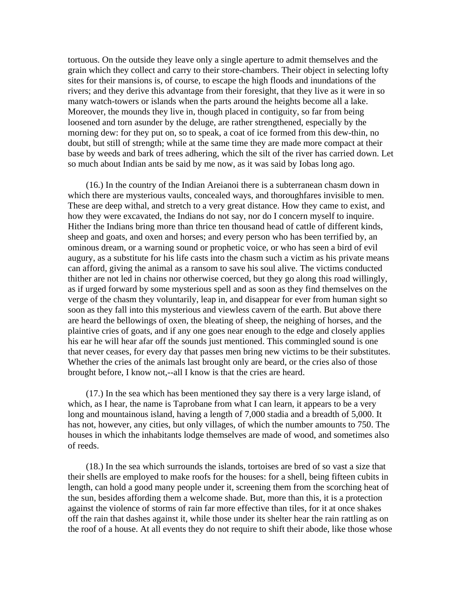tortuous. On the outside they leave only a single aperture to admit themselves and the grain which they collect and carry to their store-chambers. Their object in selecting lofty sites for their mansions is, of course, to escape the high floods and inundations of the rivers; and they derive this advantage from their foresight, that they live as it were in so many watch-towers or islands when the parts around the heights become all a lake. Moreover, the mounds they live in, though placed in contiguity, so far from being loosened and torn asunder by the deluge, are rather strengthened, especially by the morning dew: for they put on, so to speak, a coat of ice formed from this dew-thin, no doubt, but still of strength; while at the same time they are made more compact at their base by weeds and bark of trees adhering, which the silt of the river has carried down. Let so much about Indian ants be said by me now, as it was said by Iobas long ago.

 (16.) In the country of the Indian Areianoi there is a subterranean chasm down in which there are mysterious vaults, concealed ways, and thoroughfares invisible to men. These are deep withal, and stretch to a very great distance. How they came to exist, and how they were excavated, the Indians do not say, nor do I concern myself to inquire. Hither the Indians bring more than thrice ten thousand head of cattle of different kinds, sheep and goats, and oxen and horses; and every person who has been terrified by, an ominous dream, or a warning sound or prophetic voice, or who has seen a bird of evil augury, as a substitute for his life casts into the chasm such a victim as his private means can afford, giving the animal as a ransom to save his soul alive. The victims conducted thither are not led in chains nor otherwise coerced, but they go along this road willingly, as if urged forward by some mysterious spell and as soon as they find themselves on the verge of the chasm they voluntarily, leap in, and disappear for ever from human sight so soon as they fall into this mysterious and viewless cavern of the earth. But above there are heard the bellowings of oxen, the bleating of sheep, the neighing of horses, and the plaintive cries of goats, and if any one goes near enough to the edge and closely applies his ear he will hear afar off the sounds just mentioned. This commingled sound is one that never ceases, for every day that passes men bring new victims to be their substitutes. Whether the cries of the animals last brought only are beard, or the cries also of those brought before, I know not,--all I know is that the cries are heard.

 (17.) In the sea which has been mentioned they say there is a very large island, of which, as I hear, the name is Taprobane from what I can learn, it appears to be a very long and mountainous island, having a length of 7,000 stadia and a breadth of 5,000. It has not, however, any cities, but only villages, of which the number amounts to 750. The houses in which the inhabitants lodge themselves are made of wood, and sometimes also of reeds.

 (18.) In the sea which surrounds the islands, tortoises are bred of so vast a size that their shells are employed to make roofs for the houses: for a shell, being fifteen cubits in length, can hold a good many people under it, screening them from the scorching heat of the sun, besides affording them a welcome shade. But, more than this, it is a protection against the violence of storms of rain far more effective than tiles, for it at once shakes off the rain that dashes against it, while those under its shelter hear the rain rattling as on the roof of a house. At all events they do not require to shift their abode, like those whose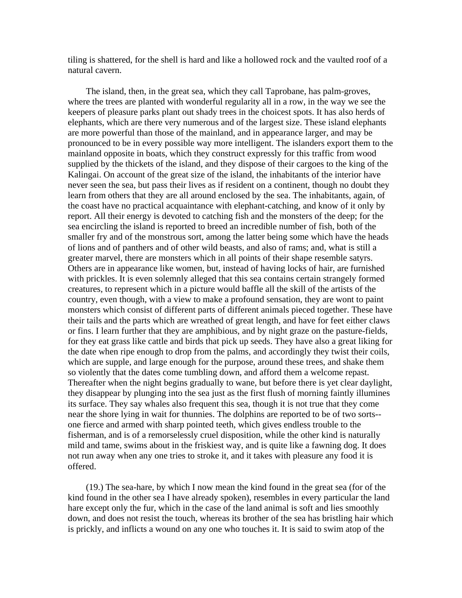tiling is shattered, for the shell is hard and like a hollowed rock and the vaulted roof of a natural cavern.

 The island, then, in the great sea, which they call Taprobane, has palm-groves, where the trees are planted with wonderful regularity all in a row, in the way we see the keepers of pleasure parks plant out shady trees in the choicest spots. It has also herds of elephants, which are there very numerous and of the largest size. These island elephants are more powerful than those of the mainland, and in appearance larger, and may be pronounced to be in every possible way more intelligent. The islanders export them to the mainland opposite in boats, which they construct expressly for this traffic from wood supplied by the thickets of the island, and they dispose of their cargoes to the king of the Kalingai. On account of the great size of the island, the inhabitants of the interior have never seen the sea, but pass their lives as if resident on a continent, though no doubt they learn from others that they are all around enclosed by the sea. The inhabitants, again, of the coast have no practical acquaintance with elephant-catching, and know of it only by report. All their energy is devoted to catching fish and the monsters of the deep; for the sea encircling the island is reported to breed an incredible number of fish, both of the smaller fry and of the monstrous sort, among the latter being some which have the heads of lions and of panthers and of other wild beasts, and also of rams; and, what is still a greater marvel, there are monsters which in all points of their shape resemble satyrs. Others are in appearance like women, but, instead of having locks of hair, are furnished with prickles. It is even solemnly alleged that this sea contains certain strangely formed creatures, to represent which in a picture would baffle all the skill of the artists of the country, even though, with a view to make a profound sensation, they are wont to paint monsters which consist of different parts of different animals pieced together. These have their tails and the parts which are wreathed of great length, and have for feet either claws or fins. I learn further that they are amphibious, and by night graze on the pasture-fields, for they eat grass like cattle and birds that pick up seeds. They have also a great liking for the date when ripe enough to drop from the palms, and accordingly they twist their coils, which are supple, and large enough for the purpose, around these trees, and shake them so violently that the dates come tumbling down, and afford them a welcome repast. Thereafter when the night begins gradually to wane, but before there is yet clear daylight, they disappear by plunging into the sea just as the first flush of morning faintly illumines its surface. They say whales also frequent this sea, though it is not true that they come near the shore lying in wait for thunnies. The dolphins are reported to be of two sorts- one fierce and armed with sharp pointed teeth, which gives endless trouble to the fisherman, and is of a remorselessly cruel disposition, while the other kind is naturally mild and tame, swims about in the friskiest way, and is quite like a fawning dog. It does not run away when any one tries to stroke it, and it takes with pleasure any food it is offered.

 (19.) The sea-hare, by which I now mean the kind found in the great sea (for of the kind found in the other sea I have already spoken), resembles in every particular the land hare except only the fur, which in the case of the land animal is soft and lies smoothly down, and does not resist the touch, whereas its brother of the sea has bristling hair which is prickly, and inflicts a wound on any one who touches it. It is said to swim atop of the